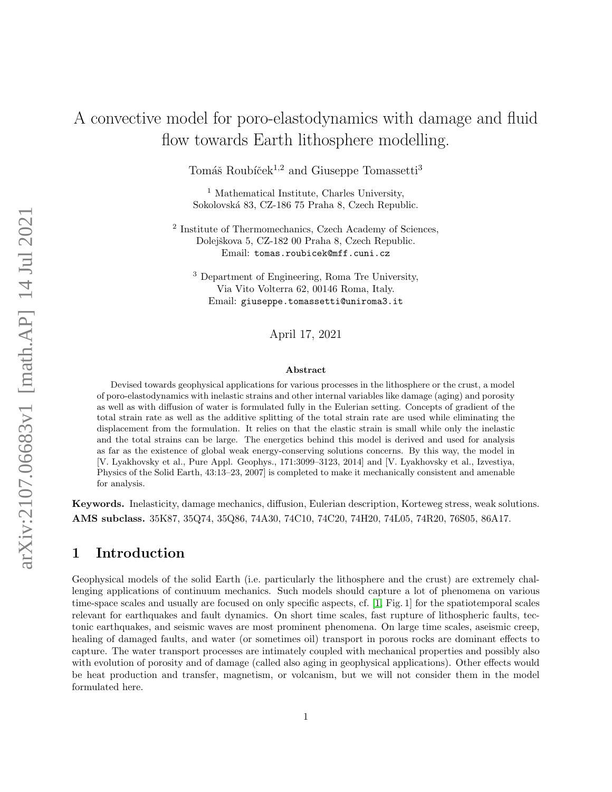# A convective model for poro-elastodynamics with damage and fluid flow towards Earth lithosphere modelling.

Tomáš Roubíček<sup>1,2</sup> and Giuseppe Tomassetti<sup>3</sup>

<sup>1</sup> Mathematical Institute, Charles University, Sokolovsk´a 83, CZ-186 75 Praha 8, Czech Republic.

<sup>2</sup> Institute of Thermomechanics, Czech Academy of Sciences, Dolejškova 5, CZ-182 00 Praha 8, Czech Republic. Email: tomas.roubicek@mff.cuni.cz

<sup>3</sup> Department of Engineering, Roma Tre University, Via Vito Volterra 62, 00146 Roma, Italy. Email: giuseppe.tomassetti@uniroma3.it

April 17, 2021

#### Abstract

Devised towards geophysical applications for various processes in the lithosphere or the crust, a model of poro-elastodynamics with inelastic strains and other internal variables like damage (aging) and porosity as well as with diffusion of water is formulated fully in the Eulerian setting. Concepts of gradient of the total strain rate as well as the additive splitting of the total strain rate are used while eliminating the displacement from the formulation. It relies on that the elastic strain is small while only the inelastic and the total strains can be large. The energetics behind this model is derived and used for analysis as far as the existence of global weak energy-conserving solutions concerns. By this way, the model in [V. Lyakhovsky et al., Pure Appl. Geophys., 171:3099–3123, 2014] and [V. Lyakhovsky et al., Izvestiya, Physics of the Solid Earth, 43:13–23, 2007] is completed to make it mechanically consistent and amenable for analysis.

Keywords. Inelasticity, damage mechanics, diffusion, Eulerian description, Korteweg stress, weak solutions. AMS subclass. 35K87, 35Q74, 35Q86, 74A30, 74C10, 74C20, 74H20, 74L05, 74R20, 76S05, 86A17.

#### 1 Introduction

Geophysical models of the solid Earth (i.e. particularly the lithosphere and the crust) are extremely challenging applications of continuum mechanics. Such models should capture a lot of phenomena on various time-space scales and usually are focused on only specific aspects, cf. [\[1,](#page-16-0) Fig. 1] for the spatiotemporal scales relevant for earthquakes and fault dynamics. On short time scales, fast rupture of lithospheric faults, tectonic earthquakes, and seismic waves are most prominent phenomena. On large time scales, aseismic creep, healing of damaged faults, and water (or sometimes oil) transport in porous rocks are dominant effects to capture. The water transport processes are intimately coupled with mechanical properties and possibly also with evolution of porosity and of damage (called also aging in geophysical applications). Other effects would be heat production and transfer, magnetism, or volcanism, but we will not consider them in the model formulated here.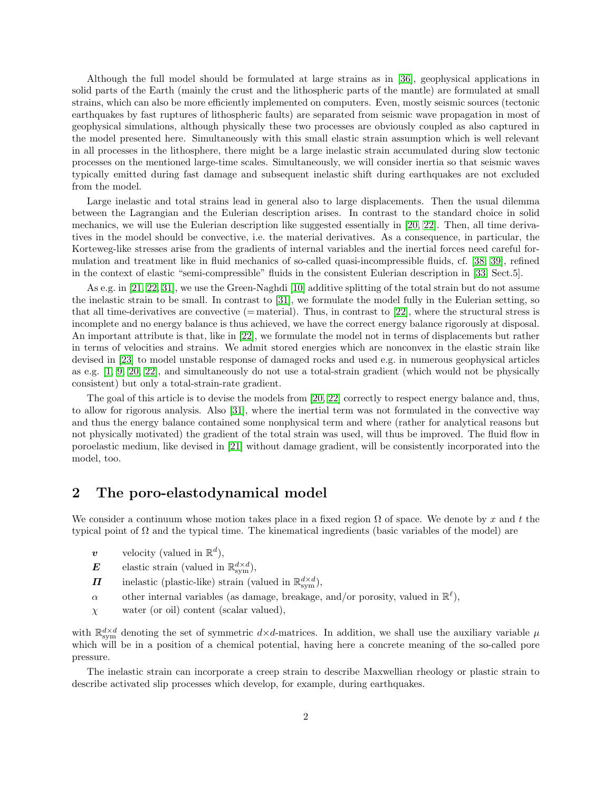Although the full model should be formulated at large strains as in [\[36\]](#page-17-0), geophysical applications in solid parts of the Earth (mainly the crust and the lithospheric parts of the mantle) are formulated at small strains, which can also be more efficiently implemented on computers. Even, mostly seismic sources (tectonic earthquakes by fast ruptures of lithospheric faults) are separated from seismic wave propagation in most of geophysical simulations, although physically these two processes are obviously coupled as also captured in the model presented here. Simultaneously with this small elastic strain assumption which is well relevant in all processes in the lithosphere, there might be a large inelastic strain accumulated during slow tectonic processes on the mentioned large-time scales. Simultaneously, we will consider inertia so that seismic waves typically emitted during fast damage and subsequent inelastic shift during earthquakes are not excluded from the model.

Large inelastic and total strains lead in general also to large displacements. Then the usual dilemma between the Lagrangian and the Eulerian description arises. In contrast to the standard choice in solid mechanics, we will use the Eulerian description like suggested essentially in [\[20,](#page-16-1) [22\]](#page-16-2). Then, all time derivatives in the model should be convective, i.e. the material derivatives. As a consequence, in particular, the Korteweg-like stresses arise from the gradients of internal variables and the inertial forces need careful formulation and treatment like in fluid mechanics of so-called quasi-incompressible fluids, cf. [\[38,](#page-17-1) [39\]](#page-17-2), refined in the context of elastic "semi-compressible" fluids in the consistent Eulerian description in [\[33,](#page-17-3) Sect.5].

As e.g. in [\[21,](#page-16-3) [22,](#page-16-2) [31\]](#page-17-4), we use the Green-Naghdi [\[10\]](#page-16-4) additive splitting of the total strain but do not assume the inelastic strain to be small. In contrast to [\[31\]](#page-17-4), we formulate the model fully in the Eulerian setting, so that all time-derivatives are convective ( $=$  material). Thus, in contrast to  $[22]$ , where the structural stress is incomplete and no energy balance is thus achieved, we have the correct energy balance rigorously at disposal. An important attribute is that, like in [\[22\]](#page-16-2), we formulate the model not in terms of displacements but rather in terms of velocities and strains. We admit stored energies which are nonconvex in the elastic strain like devised in [\[23\]](#page-16-5) to model unstable response of damaged rocks and used e.g. in numerous geophysical articles as e.g. [\[1,](#page-16-0) [9,](#page-16-6) [20,](#page-16-1) [22\]](#page-16-2), and simultaneously do not use a total-strain gradient (which would not be physically consistent) but only a total-strain-rate gradient.

The goal of this article is to devise the models from [\[20,](#page-16-1) [22\]](#page-16-2) correctly to respect energy balance and, thus, to allow for rigorous analysis. Also [\[31\]](#page-17-4), where the inertial term was not formulated in the convective way and thus the energy balance contained some nonphysical term and where (rather for analytical reasons but not physically motivated) the gradient of the total strain was used, will thus be improved. The fluid flow in poroelastic medium, like devised in [\[21\]](#page-16-3) without damage gradient, will be consistently incorporated into the model, too.

#### 2 The poro-elastodynamical model

We consider a continuum whose motion takes place in a fixed region  $\Omega$  of space. We denote by x and t the typical point of Ω and the typical time. The kinematical ingredients (basic variables of the model) are

- v velocity (valued in  $\mathbb{R}^d$ ),
- $\boldsymbol{E}$  elastic strain (valued in  $\mathbb{R}^{d \times d}_{sym}$ ),
- $\Pi$  inelastic (plastic-like) strain (valued in  $\mathbb{R}^{d \times d}_{sym}$ ),
- $\alpha$  other internal variables (as damage, breakage, and/or porosity, valued in  $\mathbb{R}^{\ell}$ ),
- $\chi$  water (or oil) content (scalar valued),

with  $\mathbb{R}^{d \times d}_{sym}$  denoting the set of symmetric  $d \times d$ -matrices. In addition, we shall use the auxiliary variable  $\mu$ which will be in a position of a chemical potential, having here a concrete meaning of the so-called pore pressure.

The inelastic strain can incorporate a creep strain to describe Maxwellian rheology or plastic strain to describe activated slip processes which develop, for example, during earthquakes.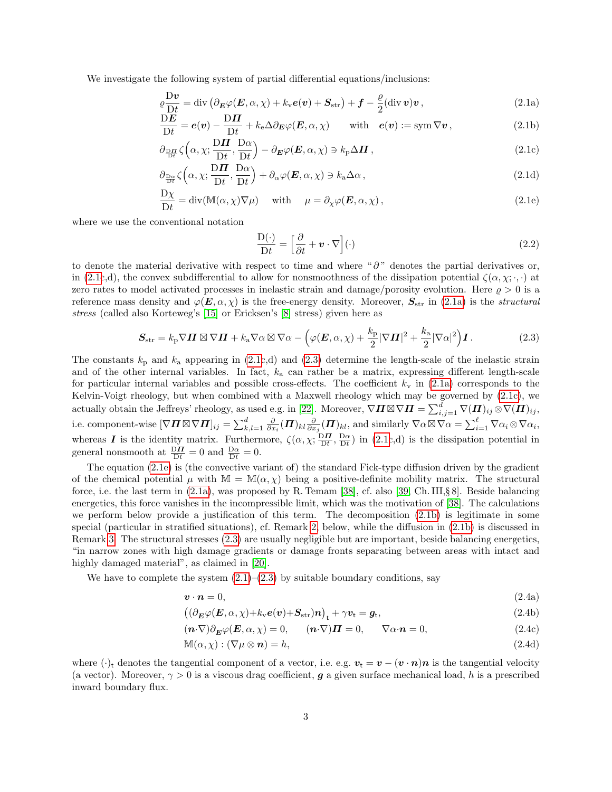We investigate the following system of partial differential equations/inclusions:

$$
\rho \frac{\mathbf{D} \mathbf{v}}{\mathbf{D} \mathbf{t}} = \text{div} \left( \partial_{\boldsymbol{E}} \varphi(\boldsymbol{E}, \alpha, \chi) + k_{\mathbf{v}} \boldsymbol{e}(\boldsymbol{v}) + \boldsymbol{S}_{\text{str}} \right) + \boldsymbol{f} - \frac{\varrho}{2} (\text{div} \, \boldsymbol{v}) \boldsymbol{v} \,, \tag{2.1a}
$$

$$
\frac{\mathcal{D} \mathbf{E}}{\mathcal{D} t} = \mathbf{e}(\mathbf{v}) - \frac{\mathcal{D} \mathbf{\Pi}}{\mathcal{D} t} + k_{e} \Delta \partial_{\mathbf{E}} \varphi(\mathbf{E}, \alpha, \chi) \quad \text{with} \quad \mathbf{e}(\mathbf{v}) := \text{sym } \nabla \mathbf{v}, \tag{2.1b}
$$

$$
\partial_{\frac{\mathbf{D}\mathbf{\Pi}}{\mathbf{D}t}}\zeta\left(\alpha,\chi;\frac{\mathbf{D}\mathbf{\Pi}}{\mathbf{D}t},\frac{\mathbf{D}\alpha}{\mathbf{D}t}\right) - \partial_{\mathbf{E}}\varphi(\mathbf{E},\alpha,\chi) \ni k_{\mathbf{p}}\Delta\mathbf{\Pi},\tag{2.1c}
$$

$$
\partial_{\frac{\mathbf{D}\alpha}{\mathbf{D}t}}\zeta\left(\alpha,\chi;\frac{\mathbf{D}\mathbf{\Pi}}{\mathbf{D}t},\frac{\mathbf{D}\alpha}{\mathbf{D}t}\right) + \partial_{\alpha}\varphi(\mathbf{E},\alpha,\chi) \ni k_{\mathbf{a}}\Delta\alpha\,,\tag{2.1d}
$$

$$
\frac{\mathcal{D}\chi}{\mathcal{D}t} = \text{div}(\mathbb{M}(\alpha, \chi)\nabla\mu) \quad \text{with} \quad \mu = \partial_{\chi}\varphi(\boldsymbol{E}, \alpha, \chi), \tag{2.1e}
$$

where we use the conventional notation

<span id="page-2-10"></span><span id="page-2-6"></span><span id="page-2-5"></span><span id="page-2-4"></span><span id="page-2-3"></span><span id="page-2-2"></span><span id="page-2-1"></span><span id="page-2-0"></span>
$$
\frac{\mathcal{D}(\cdot)}{\mathcal{D}t} = \left[\frac{\partial}{\partial t} + \boldsymbol{v} \cdot \nabla\right](\cdot) \tag{2.2}
$$

to denote the material derivative with respect to time and where " $\partial$ " denotes the partial derivatives or, in [\(2.1c](#page-2-0),d), the convex subdifferential to allow for nonsmoothness of the dissipation potential  $\zeta(\alpha, \chi; \cdot, \cdot)$  at zero rates to model activated processes in inelastic strain and damage/porosity evolution. Here  $\rho > 0$  is a reference mass density and  $\varphi(E, \alpha, \chi)$  is the free-energy density. Moreover,  $S_{\rm str}$  in [\(2.1a\)](#page-2-1) is the *structural* stress (called also Korteweg's [\[15\]](#page-16-7) or Ericksen's [\[8\]](#page-16-8) stress) given here as

$$
\mathbf{S}_{\rm str} = k_{\rm p} \nabla \mathbf{\Pi} \boxtimes \nabla \mathbf{\Pi} + k_{\rm a} \nabla \alpha \boxtimes \nabla \alpha - \left( \varphi(\mathbf{E}, \alpha, \chi) + \frac{k_{\rm p}}{2} |\nabla \mathbf{\Pi}|^2 + \frac{k_{\rm a}}{2} |\nabla \alpha|^2 \right) \mathbf{I} \,. \tag{2.3}
$$

The constants  $k_p$  and  $k_a$  appearing in [\(2.1c](#page-2-0),d) and [\(2.3\)](#page-2-2) determine the length-scale of the inelastic strain and of the other internal variables. In fact,  $k_a$  can rather be a matrix, expressing different length-scale for particular internal variables and possible cross-effects. The coefficient  $k_v$  in [\(2.1a\)](#page-2-1) corresponds to the Kelvin-Voigt rheology, but when combined with a Maxwell rheology which may be governed by [\(2.1c\)](#page-2-3), we actually obtain the Jeffreys' rheology, as used e.g. in [\[22\]](#page-16-2). Moreover,  $\nabla \Pi \boxtimes \nabla \Pi = \sum_{i,j=1}^d \nabla(\Pi)_{ij} \otimes \nabla(\Pi)_{ij}$ , i.e. component-wise  $[\nabla \boldsymbol{\Pi} \boxtimes \nabla \boldsymbol{\Pi}]_{ij} = \sum_{k,l=1}^d \frac{\partial}{\partial x_i} (\boldsymbol{\Pi})_{kl} \frac{\partial}{\partial x_j} (\boldsymbol{\Pi})_{kl}$ , and similarly  $\nabla \alpha \boxtimes \nabla \alpha = \sum_{i=1}^\ell \nabla \alpha_i \otimes \nabla \alpha_i$ , whereas **I** is the identity matrix. Furthermore,  $\zeta(\alpha, \chi; \frac{D}{D}t, \frac{D\alpha}{Dt})$  in [\(2.1c](#page-2-0),d) is the dissipation potential in general nonsmooth at  $\frac{D\mathbf{\Pi}}{Dt} = 0$  and  $\frac{D\alpha}{Dt} = 0$ .

The equation [\(2.1e\)](#page-2-4) is (the convective variant of) the standard Fick-type diffusion driven by the gradient of the chemical potential  $\mu$  with  $\mathbb{M} = \mathbb{M}(\alpha, \chi)$  being a positive-definite mobility matrix. The structural force, i.e. the last term in  $(2.1a)$ , was proposed by R. Temam [\[38\]](#page-17-1), cf. also [\[39,](#page-17-2) Ch. III, § 8]. Beside balancing energetics, this force vanishes in the incompressible limit, which was the motivation of [\[38\]](#page-17-1). The calculations we perform below provide a justification of this term. The decomposition [\(2.1b\)](#page-2-5) is legitimate in some special (particular in stratified situations), cf. Remark [2,](#page-5-0) below, while the diffusion in [\(2.1b\)](#page-2-5) is discussed in Remark [3.](#page-5-1) The structural stresses [\(2.3\)](#page-2-2) are usually negligible but are important, beside balancing energetics, "in narrow zones with high damage gradients or damage fronts separating between areas with intact and highly damaged material", as claimed in  $[20]$ .

We have to complete the system  $(2.1)$ – $(2.3)$  by suitable boundary conditions, say

<span id="page-2-12"></span><span id="page-2-8"></span><span id="page-2-7"></span>
$$
\mathbf{v} \cdot \mathbf{n} = 0,\tag{2.4a}
$$

$$
((\partial_{\mathbf{E}}\varphi(\mathbf{E},\alpha,\chi)+k_{\rm v}\mathbf{e}(\mathbf{v})+\mathbf{S}_{\rm str})\mathbf{n})_{\rm t}+\gamma\mathbf{v}_{\rm t}=\mathbf{g}_{\rm t},\tag{2.4b}
$$

<span id="page-2-9"></span>
$$
(\mathbf{n} \cdot \nabla) \partial_{\mathbf{E}} \varphi(\mathbf{E}, \alpha, \chi) = 0, \qquad (\mathbf{n} \cdot \nabla) \mathbf{\Pi} = 0, \qquad \nabla \alpha \cdot \mathbf{n} = 0,
$$
\n(2.4c)

<span id="page-2-11"></span>
$$
\mathbb{M}(\alpha, \chi) : (\nabla \mu \otimes \mathbf{n}) = h,\tag{2.4d}
$$

where  $(\cdot)_t$  denotes the tangential component of a vector, i.e. e.g.  $v_t = v - (v \cdot n)n$  is the tangential velocity (a vector). Moreover,  $\gamma > 0$  is a viscous drag coefficient, g a given surface mechanical load, h is a prescribed inward boundary flux.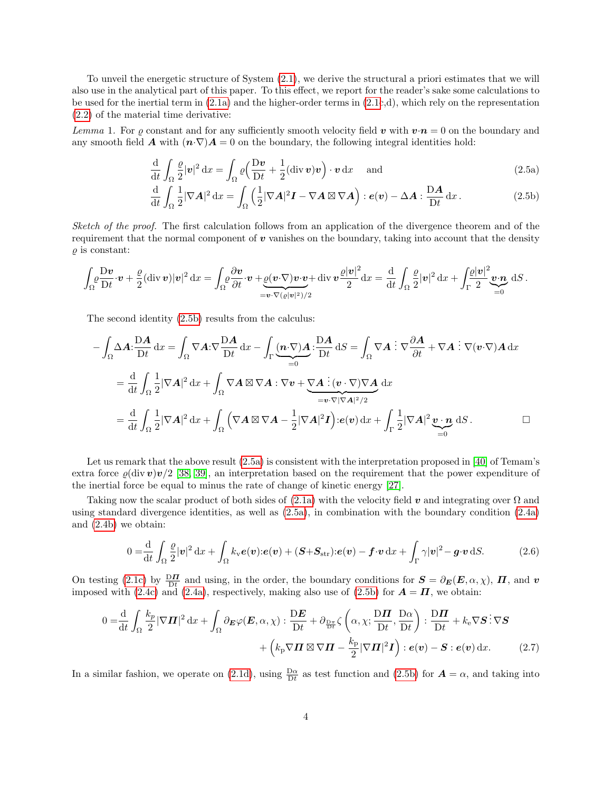To unveil the energetic structure of System [\(2.1\)](#page-2-0), we derive the structural a priori estimates that we will also use in the analytical part of this paper. To this effect, we report for the reader's sake some calculations to be used for the inertial term in [\(2.1a\)](#page-2-1) and the higher-order terms in [\(2.1c](#page-2-0),d), which rely on the representation [\(2.2\)](#page-2-6) of the material time derivative:

Lemma 1. For  $\rho$  constant and for any sufficiently smooth velocity field v with  $v \cdot n = 0$  on the boundary and any smooth field **A** with  $(n \nabla)A = 0$  on the boundary, the following integral identities hold:

<span id="page-3-1"></span><span id="page-3-0"></span>
$$
\frac{\mathrm{d}}{\mathrm{d}t} \int_{\Omega} \frac{\rho}{2} |\mathbf{v}|^2 \, \mathrm{d}x = \int_{\Omega} \rho \left( \frac{\mathrm{D}\mathbf{v}}{\mathrm{D}t} + \frac{1}{2} (\mathrm{div}\,\mathbf{v})\mathbf{v} \right) \cdot \mathbf{v} \, \mathrm{d}x \quad \text{and} \tag{2.5a}
$$

$$
\frac{\mathrm{d}}{\mathrm{d}t} \int_{\Omega} \frac{1}{2} |\nabla A|^2 \, \mathrm{d}x = \int_{\Omega} \left( \frac{1}{2} |\nabla A|^2 \mathbf{I} - \nabla A \boxtimes \nabla A \right) : e(\mathbf{v}) - \Delta A : \frac{\mathrm{D}A}{\mathrm{D}t} \, \mathrm{d}x \,. \tag{2.5b}
$$

Sketch of the proof. The first calculation follows from an application of the divergence theorem and of the requirement that the normal component of  $\boldsymbol{v}$  vanishes on the boundary, taking into account that the density  $\rho$  is constant:

$$
\int_{\Omega} \frac{\mathrm{D} \mathbf{v}}{\mathrm{D} t} \cdot \mathbf{v} + \frac{\varrho}{2} (\mathrm{div} \, \mathbf{v}) |\mathbf{v}|^2 \, \mathrm{d}x = \int_{\Omega} \frac{\partial \mathbf{v}}{\partial t} \cdot \mathbf{v} + \underbrace{\varrho(\mathbf{v} \cdot \nabla) \mathbf{v} \cdot \mathbf{v}}_{= \mathbf{v} \cdot \nabla (\varrho |\mathbf{v}|^2)/2} \mathrm{div} \, \mathbf{v} \frac{\varrho |\mathbf{v}|^2}{2} \mathrm{d}x = \frac{\mathrm{d}}{\mathrm{d}t} \int_{\Omega} \frac{\varrho}{2} |\mathbf{v}|^2 \, \mathrm{d}x + \int_{\Gamma} \frac{\varrho |\mathbf{v}|^2}{2} \underbrace{\mathbf{v} \cdot \mathbf{n}}_{=0} \, \mathrm{d}S.
$$

The second identity [\(2.5b\)](#page-3-0) results from the calculus:

$$
-\int_{\Omega} \Delta A \cdot \frac{\mathcal{D}A}{\mathcal{D}t} dx = \int_{\Omega} \nabla A \cdot \nabla \frac{\mathcal{D}A}{\mathcal{D}t} dx - \int_{\Gamma} (\mathbf{n} \cdot \nabla) \mathcal{A} \cdot \frac{\mathcal{D}A}{\mathcal{D}t} dS = \int_{\Omega} \nabla A \cdot \nabla \frac{\partial A}{\partial t} + \nabla A \cdot \nabla (v \cdot \nabla) A dx
$$

$$
= \frac{d}{dt} \int_{\Omega} \frac{1}{2} |\nabla A|^2 dx + \int_{\Omega} \nabla A \boxtimes \nabla A \cdot \nabla v + \underbrace{\nabla A \cdot \nabla (v \cdot \nabla) \nabla A}_{=v \cdot \nabla |\nabla A|^2/2} dx
$$

$$
= \frac{d}{dt} \int_{\Omega} \frac{1}{2} |\nabla A|^2 dx + \int_{\Omega} (\nabla A \boxtimes \nabla A - \frac{1}{2} |\nabla A|^2 \mathbf{I}) \cdot e(v) dx + \int_{\Gamma} \frac{1}{2} |\nabla A|^2 \underbrace{v \cdot \mathbf{n}}_{=0} dS.
$$

Let us remark that the above result  $(2.5a)$  is consistent with the interpretation proposed in [\[40\]](#page-17-5) of Temam's extra force  $\varrho(\text{div } v)v/2$  [\[38,](#page-17-1) [39\]](#page-17-2), an interpretation based on the requirement that the power expenditure of the inertial force be equal to minus the rate of change of kinetic energy [\[27\]](#page-17-6).

Taking now the scalar product of both sides of  $(2.1a)$  with the velocity field v and integrating over  $\Omega$  and using standard divergence identities, as well as [\(2.5a\)](#page-3-1), in combination with the boundary condition [\(2.4a\)](#page-2-7) and [\(2.4b\)](#page-2-8) we obtain:

<span id="page-3-3"></span><span id="page-3-2"></span>
$$
0 = \frac{\mathrm{d}}{\mathrm{d}t} \int_{\Omega} \frac{\rho}{2} |\mathbf{v}|^2 \, \mathrm{d}x + \int_{\Omega} k_{\mathrm{v}} \boldsymbol{e}(\mathbf{v}) \cdot \boldsymbol{e}(\mathbf{v}) + (\boldsymbol{S} + \boldsymbol{S}_{\mathrm{str}}) \cdot \boldsymbol{e}(\mathbf{v}) - \boldsymbol{f} \cdot \boldsymbol{v} \, \mathrm{d}x + \int_{\Gamma} \gamma |\mathbf{v}|^2 - \boldsymbol{g} \cdot \boldsymbol{v} \, \mathrm{d}S. \tag{2.6}
$$

On testing [\(2.1c\)](#page-2-3) by  $\frac{D\mathbf{\Pi}}{Dt}$  and using, in the order, the boundary conditions for  $\mathbf{S} = \partial_{\mathbf{E}}(\mathbf{E}, \alpha, \chi)$ ,  $\mathbf{\Pi}$ , and  $\mathbf{v}$ imposed with [\(2.4c\)](#page-2-9) and [\(2.4a\)](#page-2-7), respectively, making also use of [\(2.5b\)](#page-3-0) for  $\mathbf{A} = \mathbf{\Pi}$ , we obtain:

$$
0 = \frac{\mathrm{d}}{\mathrm{d}t} \int_{\Omega} \frac{k_p}{2} |\nabla \Pi|^2 \, \mathrm{d}x + \int_{\Omega} \partial \mathbf{g} \varphi(\mathbf{E}, \alpha, \chi) : \frac{\mathrm{D} \mathbf{E}}{\mathrm{D} t} + \partial \frac{\mathrm{D} \pi}{\mathrm{D} t} \zeta \left( \alpha, \chi; \frac{\mathrm{D} \Pi}{\mathrm{D} t}, \frac{\mathrm{D} \alpha}{\mathrm{D} t} \right) : \frac{\mathrm{D} \Pi}{\mathrm{D} t} + k_e \nabla \mathbf{S} : \nabla \mathbf{S} + \left( k_p \nabla \Pi \boxtimes \nabla \Pi - \frac{k_p}{2} |\nabla \Pi|^2 \mathbf{I} \right) : e(\mathbf{v}) - \mathbf{S} : e(\mathbf{v}) \, \mathrm{d}x. \tag{2.7}
$$

In a similar fashion, we operate on [\(2.1d\)](#page-2-10), using  $\frac{D\alpha}{Dt}$  as test function and [\(2.5b\)](#page-3-0) for  $\mathbf{A} = \alpha$ , and taking into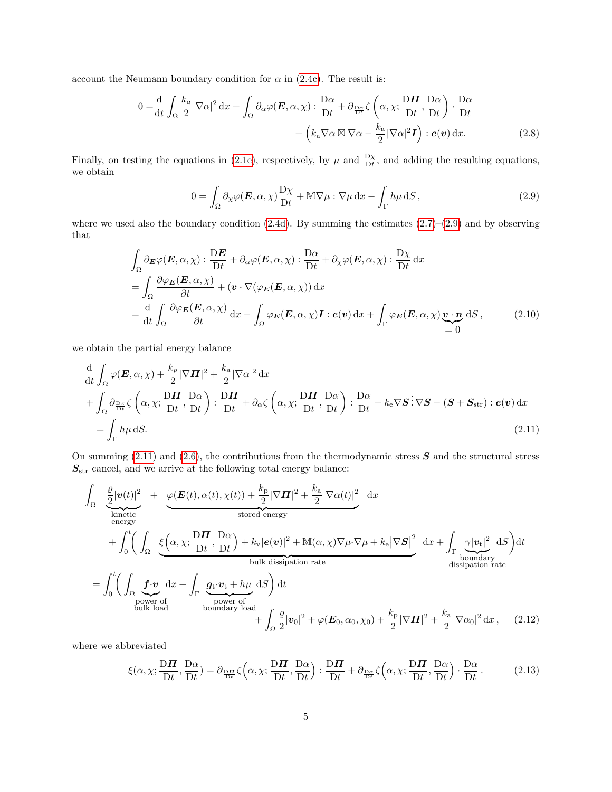account the Neumann boundary condition for  $\alpha$  in [\(2.4c\)](#page-2-9). The result is:

$$
0 = \frac{\mathrm{d}}{\mathrm{d}t} \int_{\Omega} \frac{k_a}{2} |\nabla \alpha|^2 \, \mathrm{d}x + \int_{\Omega} \partial_{\alpha} \varphi(\boldsymbol{E}, \alpha, \chi) : \frac{\mathrm{D} \alpha}{\mathrm{D} t} + \partial_{\frac{\mathrm{D} \alpha}{\mathrm{D} t}} \zeta \left( \alpha, \chi; \frac{\mathrm{D} \boldsymbol{\Pi}}{\mathrm{D} t}, \frac{\mathrm{D} \alpha}{\mathrm{D} t} \right) \cdot \frac{\mathrm{D} \alpha}{\mathrm{D} t} + \left( k_a \nabla \alpha \boxtimes \nabla \alpha - \frac{k_a}{2} |\nabla \alpha|^2 \boldsymbol{I} \right) : e(\boldsymbol{v}) \, \mathrm{d}x. \tag{2.8}
$$

Finally, on testing the equations in [\(2.1e\)](#page-2-4), respectively, by  $\mu$  and  $\frac{D\chi}{Dt}$ , and adding the resulting equations, we obtain

<span id="page-4-1"></span><span id="page-4-0"></span>
$$
0 = \int_{\Omega} \partial_{\chi} \varphi(E, \alpha, \chi) \frac{\mathrm{D}\chi}{\mathrm{D}t} + \mathbb{M} \nabla \mu : \nabla \mu \, \mathrm{d}x - \int_{\Gamma} h \mu \, \mathrm{d}S \,, \tag{2.9}
$$

where we used also the boundary condition  $(2.4d)$ . By summing the estimates  $(2.7)$ – $(2.9)$  and by observing that

$$
\int_{\Omega} \partial_{\mathbf{E}} \varphi(\mathbf{E}, \alpha, \chi) : \frac{\mathrm{D} \mathbf{E}}{\mathrm{D} t} + \partial_{\alpha} \varphi(\mathbf{E}, \alpha, \chi) : \frac{\mathrm{D} \alpha}{\mathrm{D} t} + \partial_{\chi} \varphi(\mathbf{E}, \alpha, \chi) : \frac{\mathrm{D} \chi}{\mathrm{D} t} \mathrm{d}x \n= \int_{\Omega} \frac{\partial \varphi_{\mathbf{E}}(\mathbf{E}, \alpha, \chi)}{\partial t} + (\mathbf{v} \cdot \nabla (\varphi_{\mathbf{E}}(\mathbf{E}, \alpha, \chi)) \mathrm{d}x \n= \frac{\mathrm{d}}{\mathrm{d} t} \int_{\Omega} \frac{\partial \varphi_{\mathbf{E}}(\mathbf{E}, \alpha, \chi)}{\partial t} \mathrm{d}x - \int_{\Omega} \varphi_{\mathbf{E}}(\mathbf{E}, \alpha, \chi) \mathbf{I} : \mathbf{e}(\mathbf{v}) \mathrm{d}x + \int_{\Gamma} \varphi_{\mathbf{E}}(\mathbf{E}, \alpha, \chi) \underbrace{\mathbf{v} \cdot \mathbf{n}}_{=0} \mathrm{d}S, \tag{2.10}
$$

we obtain the partial energy balance

$$
\frac{d}{dt} \int_{\Omega} \varphi(E, \alpha, \chi) + \frac{k_p}{2} |\nabla \Pi|^2 + \frac{k_a}{2} |\nabla \alpha|^2 dx \n+ \int_{\Omega} \partial_{\frac{\mathbf{D}\pi}{\mathbf{D}t}} \zeta \left( \alpha, \chi; \frac{\mathbf{D}\Pi}{\mathbf{D}t}, \frac{\mathbf{D}\alpha}{\mathbf{D}t} \right) : \frac{\mathbf{D}\Pi}{\mathbf{D}t} + \partial_{\alpha} \zeta \left( \alpha, \chi; \frac{\mathbf{D}\Pi}{\mathbf{D}t}, \frac{\mathbf{D}\alpha}{\mathbf{D}t} \right) : \frac{\mathbf{D}\alpha}{\mathbf{D}t} + k_e \nabla \mathbf{S} : \nabla \mathbf{S} - (\mathbf{S} + \mathbf{S}_{str}) : e(\mathbf{v}) dx \n= \int_{\Gamma} h \mu \, dS.
$$
\n(2.11)

On summing  $(2.11)$  and  $(2.6)$ , the contributions from the thermodynamic stress S and the structural stress  $\boldsymbol{S}_{\rm str}$  cancel, and we arrive at the following total energy balance:

$$
\int_{\Omega} \underbrace{\frac{\varrho}{2} |\mathbf{v}(t)|^2}_{\text{kinetic}} + \underbrace{\varphi(\mathbf{E}(t), \alpha(t), \chi(t)) + \frac{k_{\text{p}}}{2} |\nabla \mathbf{\Pi}|^2 + \frac{k_{\text{a}}}{2} |\nabla \alpha(t)|^2}_{\text{stored energy}} \, dx \n+ \int_{0}^{t} \left( \int_{\Omega} \underbrace{\xi(\alpha, \chi; \frac{\mathbf{D}\mathbf{\Pi}}{\mathbf{D}t}, \frac{\mathbf{D}\alpha}{\mathbf{D}t}) + k_{\text{v}} |\mathbf{e}(\mathbf{v})|^2 + \mathbb{M}(\alpha, \chi) \nabla \mu \cdot \nabla \mu + k_{\text{e}} |\nabla \mathbf{S}|^2}_{\text{bulk dissipation rate}} \, dx + \int_{\Gamma} \underbrace{\gamma |\mathbf{v}_t|^2}_{\text{boundary disk dissipation rate}} \, dS \right) dt \n= \int_{0}^{t} \left( \int_{\Omega} \underbrace{\mathbf{f} \cdot \mathbf{v}}_{\text{power of}} dx + \int_{\Gamma} \underbrace{\mathbf{g} \cdot \mathbf{v}_t + h\mu}_{\text{boundary load}} \, dS \right) dt + \int_{\Omega} \underbrace{\frac{\varrho}{2} |\mathbf{v}_0|^2 + \varphi(\mathbf{E}_0, \alpha_0, \chi_0) + \frac{k_{\text{p}}}{2} |\nabla \mathbf{\Pi}|^2 + \frac{k_{\text{a}}}{2} |\nabla \alpha_0|^2 \, dx}_{\text{bulk load}}, \quad (2.12)
$$

where we abbreviated

<span id="page-4-2"></span>
$$
\xi(\alpha, \chi; \frac{\mathbf{D}\mathbf{\Pi}}{\mathbf{D}t}, \frac{\mathbf{D}\alpha}{\mathbf{D}t}) = \partial_{\frac{\mathbf{D}\mathbf{\Pi}}{\mathbf{D}t}} \zeta(\alpha, \chi; \frac{\mathbf{D}\mathbf{\Pi}}{\mathbf{D}t}, \frac{\mathbf{D}\alpha}{\mathbf{D}t}) : \frac{\mathbf{D}\mathbf{\Pi}}{\mathbf{D}t} + \partial_{\frac{\mathbf{D}\alpha}{\mathbf{D}t}} \zeta(\alpha, \chi; \frac{\mathbf{D}\mathbf{\Pi}}{\mathbf{D}t}, \frac{\mathbf{D}\alpha}{\mathbf{D}t}) \cdot \frac{\mathbf{D}\alpha}{\mathbf{D}t}.
$$
 (2.13)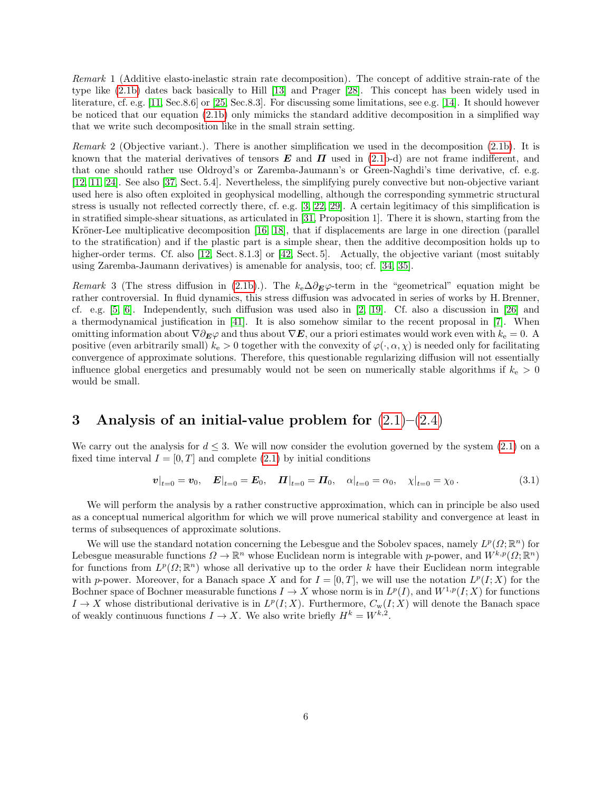Remark 1 (Additive elasto-inelastic strain rate decomposition). The concept of additive strain-rate of the type like [\(2.1b\)](#page-2-5) dates back basically to Hill [\[13\]](#page-16-9) and Prager [\[28\]](#page-17-7). This concept has been widely used in literature, cf. e.g. [\[11,](#page-16-10) Sec.8.6] or [\[25,](#page-17-8) Sec.8.3]. For discussing some limitations, see e.g. [\[14\]](#page-16-11). It should however be noticed that our equation [\(2.1b\)](#page-2-5) only mimicks the standard additive decomposition in a simplified way that we write such decomposition like in the small strain setting.

<span id="page-5-0"></span>Remark 2 (Objective variant.). There is another simplification we used in the decomposition [\(2.1b\)](#page-2-5). It is known that the material derivatives of tensors  $E$  and  $\Pi$  used in [\(2.1b](#page-2-0)-d) are not frame indifferent, and that one should rather use Oldroyd's or Zaremba-Jaumann's or Green-Naghdi's time derivative, cf. e.g. [\[12,](#page-16-12) [11,](#page-16-10) [24\]](#page-16-13). See also [\[37,](#page-17-9) Sect. 5.4]. Nevertheless, the simplifying purely convective but non-objective variant used here is also often exploited in geophysical modelling, although the corresponding symmetric structural stress is usually not reflected correctly there, cf. e.g. [\[3,](#page-16-14) [22,](#page-16-2) [29\]](#page-17-10). A certain legitimacy of this simplification is in stratified simple-shear situations, as articulated in [\[31,](#page-17-4) Proposition 1]. There it is shown, starting from the Kröner-Lee multiplicative decomposition [\[16,](#page-16-15) [18\]](#page-16-16), that if displacements are large in one direction (parallel to the stratification) and if the plastic part is a simple shear, then the additive decomposition holds up to higher-order terms. Cf. also [\[12,](#page-16-12) Sect. 8.1.3] or [\[42,](#page-17-11) Sect. 5]. Actually, the objective variant (most suitably using Zaremba-Jaumann derivatives) is amenable for analysis, too; cf. [\[34,](#page-17-12) [35\]](#page-17-13).

<span id="page-5-1"></span>Remark 3 (The stress diffusion in [\(2.1b\)](#page-2-5).). The  $k_e\Delta\partial_E\varphi$ -term in the "geometrical" equation might be rather controversial. In fluid dynamics, this stress diffusion was advocated in series of works by H. Brenner, cf. e.g. [\[5,](#page-16-17) [6\]](#page-16-18). Independently, such diffusion was used also in [\[2,](#page-16-19) [19\]](#page-16-20). Cf. also a discussion in [\[26\]](#page-17-14) and a thermodynamical justification in [\[41\]](#page-17-15). It is also somehow similar to the recent proposal in [\[7\]](#page-16-21). When omitting information about  $\nabla \partial_E \varphi$  and thus about  $\nabla E$ , our a priori estimates would work even with  $k_e = 0$ . A positive (even arbitrarily small)  $k_e > 0$  together with the convexity of  $\varphi(\cdot, \alpha, \chi)$  is needed only for facilitating convergence of approximate solutions. Therefore, this questionable regularizing diffusion will not essentially influence global energetics and presumably would not be seen on numerically stable algorithms if  $k_e > 0$ would be small.

# 3 Analysis of an initial-value problem for  $(2.1)$ – $(2.4)$

We carry out the analysis for  $d \leq 3$ . We will now consider the evolution governed by the system [\(2.1\)](#page-2-0) on a fixed time interval  $I = [0, T]$  and complete [\(2.1\)](#page-2-0) by initial conditions

<span id="page-5-2"></span>
$$
v|_{t=0} = v_0, \quad E|_{t=0} = E_0, \quad \Pi|_{t=0} = \Pi_0, \quad \alpha|_{t=0} = \alpha_0, \quad \chi|_{t=0} = \chi_0.
$$
 (3.1)

We will perform the analysis by a rather constructive approximation, which can in principle be also used as a conceptual numerical algorithm for which we will prove numerical stability and convergence at least in terms of subsequences of approximate solutions.

We will use the standard notation concerning the Lebesgue and the Sobolev spaces, namely  $L^p(\Omega;\mathbb{R}^n)$  for Lebesgue measurable functions  $\Omega \to \mathbb{R}^n$  whose Euclidean norm is integrable with p-power, and  $W^{k,p}(\Omega;\mathbb{R}^n)$ for functions from  $L^p(\Omega;\mathbb{R}^n)$  whose all derivative up to the order k have their Euclidean norm integrable with p-power. Moreover, for a Banach space X and for  $I = [0, T]$ , we will use the notation  $L^p(I; X)$  for the Bochner space of Bochner measurable functions  $I \to X$  whose norm is in  $L^p(I)$ , and  $W^{1,p}(I;X)$  for functions  $I \to X$  whose distributional derivative is in  $L^p(I;X)$ . Furthermore,  $C_w(I;X)$  will denote the Banach space of weakly continuous functions  $I \to X$ . We also write briefly  $H^k = W^{k,2}$ .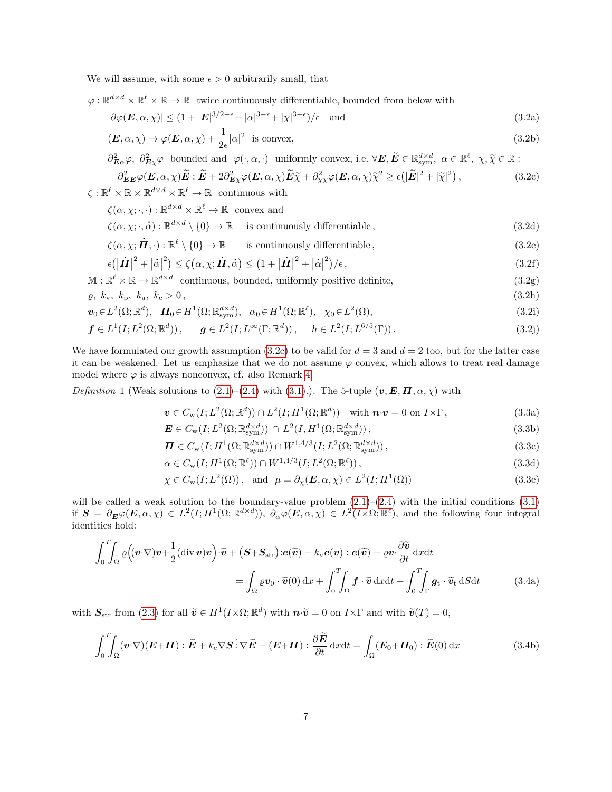We will assume, with some  $\epsilon > 0$  arbitrarily small, that

 $\varphi : \mathbb{R}^{d \times d} \times \mathbb{R}^{\ell} \times \mathbb{R} \to \mathbb{R}$  twice continuously differentiable, bounded from below with

<span id="page-6-2"></span>
$$
|\partial \varphi(\mathbf{E}, \alpha, \chi)| \le (1 + |\mathbf{E}|^{3/2 - \epsilon} + |\alpha|^{3 - \epsilon} + |\chi|^{3 - \epsilon})/\epsilon \quad \text{and} \tag{3.2a}
$$

<span id="page-6-8"></span><span id="page-6-4"></span>
$$
(\mathbf{E}, \alpha, \chi) \mapsto \varphi(\mathbf{E}, \alpha, \chi) + \frac{1}{2\epsilon} |\alpha|^2 \text{ is convex},
$$
\n(3.2b)

<span id="page-6-0"></span>
$$
\partial_{\mathbf{E}\alpha}^{2}\varphi, \ \partial_{\mathbf{E}\chi}^{2}\varphi \text{ bounded and } \varphi(\cdot,\alpha,\cdot) \text{ uniformly convex, i.e. } \forall \mathbf{E}, \widetilde{\mathbf{E}} \in \mathbb{R}^{d \times d}_{\text{sym}}, \ \alpha \in \mathbb{R}^{\ell}, \ \chi, \widetilde{\chi} \in \mathbb{R} : \n\partial_{\mathbf{E}\mathbf{E}}^{2}\varphi(\mathbf{E},\alpha,\chi)\widetilde{\mathbf{E}} : \widetilde{\mathbf{E}} + 2\partial_{\mathbf{E}\chi}^{2}\varphi(\mathbf{E},\alpha,\chi)\widetilde{\mathbf{E}} \widetilde{\chi} + \partial_{\chi\chi}^{2}\varphi(\mathbf{E},\alpha,\chi)\widetilde{\chi}^{2} \geq \epsilon(|\widetilde{\mathbf{E}}|^{2} + |\widetilde{\chi}|^{2}), \tag{3.2c}
$$

$$
\zeta: \mathbb{R}^{\ell} \times \mathbb{R} \times \mathbb{R}^{d \times d} \times \mathbb{R}^{\ell} \to \mathbb{R} \text{ continuous with}
$$

 $\zeta(\alpha,\chi;\cdot,\cdot): \mathbb{R}^{d \times d} \times \mathbb{R}^{\ell} \to \mathbb{R}$  convex and

$$
\zeta(\alpha, \chi; \cdot, \cdot) : \mathbb{R} \longrightarrow \mathbb{R} \text{ convex and}
$$
  

$$
\zeta(\alpha, \chi; \cdot, \alpha) : \mathbb{R}^{d \times d} \setminus \{0\} \to \mathbb{R} \text{ is continuously differentiable},
$$
  

$$
\zeta(\alpha, \chi; \cdot, \alpha) : \mathbb{R}^{d \times d} \setminus \{0\} \longrightarrow \mathbb{R} \text{ is continuously differentiable},
$$
  
(3.2d)

$$
\zeta(\alpha, \chi; \mathbf{\dot{H}}, \cdot) : \mathbb{R}^{\ell} \setminus \{0\} \to \mathbb{R} \qquad \text{is continuously differentiable}, \tag{3.2e}
$$

$$
\zeta(\alpha, \chi; \mathbf{\Pi}, \cdot) : \mathbb{R} \setminus \{0\} \to \mathbb{R} \quad \text{is continuously differentiable},
$$
  
\n
$$
\epsilon \left( \left| \mathbf{\dot{\Pi}} \right|^2 + \left| \dot{\alpha} \right|^2 \right) \le \zeta(\alpha, \chi; \mathbf{\dot{\Pi}}, \dot{\alpha}) \le \left( 1 + \left| \mathbf{\dot{\Pi}} \right|^2 + \left| \dot{\alpha} \right|^2 \right) / \epsilon, \tag{3.2f}
$$

 $\mathbb{M} : \mathbb{R}^{\ell} \times \mathbb{R} \to \mathbb{R}^{d \times d}$  continuous, bounded, uniformly positive definite, (3.2g)

$$
\varrho, \ k_{\rm v}, \ k_{\rm p}, \ k_{\rm a}, \ k_{\rm e} > 0 \,, \tag{3.2h}
$$

$$
\boldsymbol{v}_0 \in L^2(\Omega; \mathbb{R}^d), \quad \boldsymbol{\Pi}_0 \in H^1(\Omega; \mathbb{R}^{d \times d}_{sym}), \quad \alpha_0 \in H^1(\Omega; \mathbb{R}^\ell), \quad \chi_0 \in L^2(\Omega), \tag{3.2i}
$$

$$
\mathbf{f} \in L^{1}(I; L^{2}(\Omega; \mathbb{R}^{d})), \quad \mathbf{g} \in L^{2}(I; L^{\infty}(\Gamma; \mathbb{R}^{d})), \quad h \in L^{2}(I; L^{6/5}(\Gamma)).
$$
\n(3.2j)

We have formulated our growth assumption [\(3.2c\)](#page-6-0) to be valid for  $d = 3$  and  $d = 2$  too, but for the latter case it can be weakened. Let us emphasize that we do not assume  $\varphi$  convex, which allows to treat real damage model where  $\varphi$  is always nonconvex, cf. also Remark [4.](#page-14-0)

<span id="page-6-3"></span>Definition 1 (Weak solutions to  $(2.1)$ – $(2.4)$  with  $(3.1)$ ). The 5-tuple  $(\boldsymbol{v}, \boldsymbol{E}, \boldsymbol{\Pi}, \alpha, \chi)$  with

<span id="page-6-7"></span><span id="page-6-6"></span><span id="page-6-5"></span><span id="page-6-1"></span>
$$
\mathbf{v} \in C_{\rm w}(I; L^{2}(\Omega; \mathbb{R}^{d})) \cap L^{2}(I; H^{1}(\Omega; \mathbb{R}^{d})) \quad \text{with } \mathbf{n} \cdot \mathbf{v} = 0 \text{ on } I \times \Gamma,
$$
\n(3.3a)

$$
\mathbf{E} \in C_{\rm w}(I; L^{2}(\Omega; \mathbb{R}^{d \times d}_{\rm sym})) \cap L^{2}(I, H^{1}(\Omega; \mathbb{R}^{d \times d}_{\rm sym})),
$$
\n(3.3b)

$$
\mathbf{\Pi} \in C_{\rm w}(I; H^1(\Omega; \mathbb{R}_{{\rm sym}}^{d \times d})) \cap W^{1,4/3}(I; L^2(\Omega; \mathbb{R}_{{\rm sym}}^{d \times d}))\,,\tag{3.3c}
$$

$$
\alpha \in C_{\rm w}(I; H^1(\Omega; \mathbb{R}^\ell)) \cap W^{1,4/3}(I; L^2(\Omega; \mathbb{R}^\ell)), \tag{3.3d}
$$

$$
\chi \in C_{\rm w}(I; L^2(\Omega)), \text{ and } \mu = \partial_{\chi}(E, \alpha, \chi) \in L^2(I; H^1(\Omega))
$$
\n(3.3e)

will be called a weak solution to the boundary-value problem  $(2.1)$ – $(2.4)$  with the initial conditions  $(3.1)$ if  $\mathbf{S} = \partial_{\boldsymbol{E}} \varphi(\boldsymbol{E}, \alpha, \chi) \in L^2(I; H^1(\Omega; \mathbb{R}^{d \times d}))$ ,  $\partial_{\alpha} \varphi(\boldsymbol{E}, \alpha, \chi) \in L^2(I \times \Omega; \mathbb{R}^{\ell})$ , and the following four integral identities hold:

$$
\int_0^T \int_{\Omega} \varrho \Big( (\boldsymbol{v} \cdot \nabla) \boldsymbol{v} + \frac{1}{2} (\text{div } \boldsymbol{v}) \boldsymbol{v} \Big) \cdot \widetilde{\boldsymbol{v}} + (\boldsymbol{S} + \boldsymbol{S}_{\text{str}}) : \boldsymbol{e}(\widetilde{\boldsymbol{v}}) + k_{\mathbf{v}} \boldsymbol{e}(\boldsymbol{v}) : \boldsymbol{e}(\widetilde{\boldsymbol{v}}) - \varrho \boldsymbol{v} \cdot \frac{\partial \widetilde{\boldsymbol{v}}}{\partial t} \, \mathrm{d}x \mathrm{d}t = \int_{\Omega} \varrho \boldsymbol{v}_0 \cdot \widetilde{\boldsymbol{v}}(0) \, \mathrm{d}x + \int_0^T \int_{\Omega} \boldsymbol{f} \cdot \widetilde{\boldsymbol{v}} \, \mathrm{d}x \mathrm{d}t + \int_0^T \int_{\Gamma} \boldsymbol{g}_t \cdot \widetilde{\boldsymbol{v}}_t \, \mathrm{d}S \mathrm{d}t
$$
(3.4a)

with  $S_{\text{str}}$  from [\(2.3\)](#page-2-2) for all  $\widetilde{\boldsymbol{v}} \in H^1(I \times \Omega; \mathbb{R}^d)$  with  $\boldsymbol{n} \cdot \widetilde{\boldsymbol{v}} = 0$  on  $I \times \Gamma$  and with  $\widetilde{\boldsymbol{v}}(T) = 0$ ,

$$
\int_0^T \int_{\Omega} (\boldsymbol{v} \cdot \nabla)(\boldsymbol{E} + \boldsymbol{\Pi}) : \widetilde{\boldsymbol{E}} + k_e \nabla \boldsymbol{S} : \nabla \widetilde{\boldsymbol{E}} - (\boldsymbol{E} + \boldsymbol{\Pi}) : \frac{\partial \widetilde{\boldsymbol{E}}}{\partial t} dx dt = \int_{\Omega} (\boldsymbol{E}_0 + \boldsymbol{\Pi}_0) : \widetilde{\boldsymbol{E}}(0) dx
$$
\n(3.4b)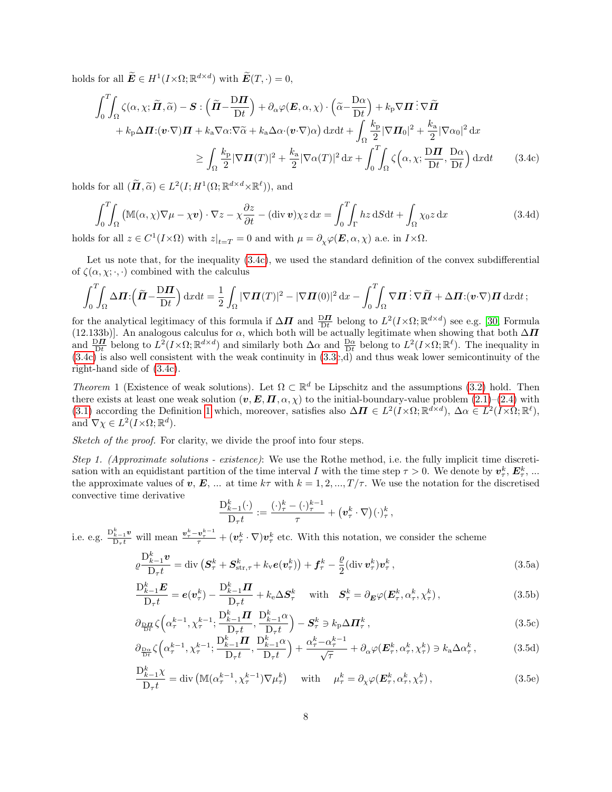holds for all  $\widetilde{E} \in H^1(I \times \Omega; \mathbb{R}^{d \times d})$  with  $\widetilde{E}(T, \cdot) = 0$ ,

$$
\int_{0}^{T} \int_{\Omega} \zeta(\alpha, \chi; \tilde{\boldsymbol{\Pi}}, \tilde{\alpha}) - \boldsymbol{S} : (\tilde{\boldsymbol{\Pi}} - \frac{\mathbf{D}\boldsymbol{\Pi}}{\mathbf{D}t}) + \partial_{\alpha} \varphi(\boldsymbol{E}, \alpha, \chi) \cdot (\tilde{\alpha} - \frac{\mathbf{D}\alpha}{\mathbf{D}t}) + k_{p} \nabla \boldsymbol{\Pi} : \nabla \tilde{\boldsymbol{\Pi}} + k_{p} \Delta \boldsymbol{\Pi} : (\boldsymbol{v} \cdot \nabla) \boldsymbol{\Pi} + k_{a} \nabla \alpha : \nabla \tilde{\alpha} + k_{a} \Delta \alpha \cdot (\boldsymbol{v} \cdot \nabla) \alpha) \, \mathrm{d}x \mathrm{d}t + \int_{\Omega} \frac{k_{p}}{2} |\nabla \boldsymbol{\Pi}_{0}|^{2} + \frac{k_{a}}{2} |\nabla \alpha_{0}|^{2} \, \mathrm{d}x \n\geq \int_{\Omega} \frac{k_{p}}{2} |\nabla \boldsymbol{\Pi}(T)|^{2} + \frac{k_{a}}{2} |\nabla \alpha(T)|^{2} \, \mathrm{d}x + \int_{0}^{T} \int_{\Omega} \zeta(\alpha, \chi; \frac{\mathbf{D}\boldsymbol{\Pi}}{\mathbf{D}t}, \frac{\mathbf{D}\alpha}{\mathbf{D}t}) \, \mathrm{d}x \mathrm{d}t \qquad (3.4c)
$$

holds for all  $(\widetilde{\boldsymbol{H}}, \widetilde{\alpha}) \in L^2(I; H^1(\Omega; \mathbb{R}^{d \times d} \times \mathbb{R}^\ell)),$  and

<span id="page-7-0"></span>
$$
\int_0^T \int_{\Omega} \left( \mathbb{M}(\alpha, \chi) \nabla \mu - \chi \mathbf{v} \right) \cdot \nabla z - \chi \frac{\partial z}{\partial t} - (\text{div } \mathbf{v}) \chi z \, dx = \int_0^T \int_{\Gamma} h z \, dS dt + \int_{\Omega} \chi_0 z \, dx \tag{3.4d}
$$

holds for all  $z \in C^1(I \times \Omega)$  with  $z|_{t=T} = 0$  and with  $\mu = \partial_\chi \varphi(\mathbf{E}, \alpha, \chi)$  a.e. in  $I \times \Omega$ .

Let us note that, for the inequality [\(3.4c\)](#page-7-0), we used the standard definition of the convex subdifferential of  $\zeta(\alpha, \chi; \cdot, \cdot)$  combined with the calculus

$$
\int_0^T \int_{\Omega} \Delta \boldsymbol{\Pi} \cdot \left( \tilde{\boldsymbol{\Pi}} - \frac{\mathrm{D}\boldsymbol{\Pi}}{\mathrm{D}t} \right) \mathrm{d}x \mathrm{d}t = \frac{1}{2} \int_{\Omega} |\nabla \boldsymbol{\Pi}(T)|^2 - |\nabla \boldsymbol{\Pi}(0)|^2 \mathrm{d}x - \int_0^T \int_{\Omega} \nabla \boldsymbol{\Pi} \cdot \nabla \tilde{\boldsymbol{\Pi}} + \Delta \boldsymbol{\Pi} \cdot (\boldsymbol{v} \cdot \nabla) \boldsymbol{\Pi} \mathrm{d}x \mathrm{d}t ;
$$

for the analytical legitimacy of this formula if  $\Delta \mathbf{\Pi}$  and  $\frac{D\mathbf{\Pi}}{Dt}$  belong to  $L^2(I \times \Omega; \mathbb{R}^{d \times d})$  see e.g. [\[30,](#page-17-16) Formula (12.133b)]. An analogous calculus for  $\alpha$ , which both will be actually legitimate when showing that both  $\Delta \Pi$ and  $\frac{\mathrm{D}\mathbf{\Pi}}{\mathrm{D}t}$  belong to  $L^2(I \times \Omega; \mathbb{R}^{d \times d})$  and similarly both  $\Delta\alpha$  and  $\frac{\mathrm{D}\alpha}{\mathrm{D}t}$  belong to  $L^2(I \times \Omega; \mathbb{R}^{\ell})$ . The inequality in [\(3.4c\)](#page-7-0) is also well consistent with the weak continuity in [\(3.3c](#page-6-1),d) and thus weak lower semicontinuity of the right-hand side of [\(3.4c\)](#page-7-0).

Theorem 1 (Existence of weak solutions). Let  $\Omega \subset \mathbb{R}^d$  be Lipschitz and the assumptions [\(3.2\)](#page-6-2) hold. Then there exists at least one weak solution  $(v, E, \Pi, \alpha, \chi)$  to the initial-boundary-value problem  $(2.1)$ – $(2.4)$  with [\(3.1\)](#page-5-2) according the Definition [1](#page-6-3) which, moreover, satisfies also  $\Delta \mathbf{\Pi} \in L^2(I \times \Omega; \mathbb{R}^{d \times d})$ ,  $\Delta \alpha \in L^2(I \times \Omega; \mathbb{R}^{\ell})$ , and  $\nabla \chi \in L^2(I \times \Omega; \mathbb{R}^d)$ .

Sketch of the proof. For clarity, we divide the proof into four steps.

Step 1. (Approximate solutions - existence): We use the Rothe method, i.e. the fully implicit time discretisation with an equidistant partition of the time interval I with the time step  $\tau > 0$ . We denote by  $v_{\tau}^{k}$ ,  $E_{\tau}^{k}$ , ... the approximate values of v, E, ... at time  $k\tau$  with  $k = 1, 2, ..., T/\tau$ . We use the notation for the discretised convective time derivative

<span id="page-7-6"></span><span id="page-7-5"></span><span id="page-7-4"></span><span id="page-7-3"></span><span id="page-7-2"></span><span id="page-7-1"></span>
$$
\frac{\mathcal{D}_{k-1}^k(\cdot)}{\mathcal{D}_\tau t} := \frac{(\cdot)^k_\tau - (\cdot)^{k-1}_\tau}{\tau} + \left(\mathbf{v}^k_\tau \cdot \nabla\right)(\cdot)^k_\tau,
$$

i.e. e.g.  $\frac{D_{k-1}^k v}{D_{\tau}t}$  will mean  $\frac{v_{\tau}^k - v_{\tau}^{k-1}}{\tau} + (v_{\tau}^k \cdot \nabla)v_{\tau}^k$  etc. With this notation, we consider the scheme

$$
\rho \frac{\mathcal{D}_{k-1}^k \mathbf{v}}{\mathcal{D}_{\tau} t} = \text{div} \left( \mathbf{S}_{\tau}^k + \mathbf{S}_{\text{str},\tau}^k + k_{\text{v}} e(\mathbf{v}_{\tau}^k) \right) + \mathbf{f}_{\tau}^k - \frac{\rho}{2} (\text{div} \, \mathbf{v}_{\tau}^k) \mathbf{v}_{\tau}^k \,, \tag{3.5a}
$$

$$
\frac{\mathcal{D}_{k-1}^k \mathcal{E}}{\mathcal{D}_{\tau} t} = \mathbf{e}(\mathbf{v}_{\tau}^k) - \frac{\mathcal{D}_{k-1}^k \mathbf{\Pi}}{\mathcal{D}_{\tau} t} + k_e \Delta \mathbf{S}_{\tau}^k \quad \text{with} \quad \mathbf{S}_{\tau}^k = \partial_{\mathbf{E}} \varphi(\mathbf{E}_{\tau}^k, \alpha_{\tau}^k, \chi_{\tau}^k), \tag{3.5b}
$$

$$
\partial_{\frac{\mathbf{D}\mathbf{H}}{\mathbf{D}t}} \zeta \left( \alpha_{\tau}^{k-1}, \chi_{\tau}^{k-1}; \frac{\mathbf{D}_{k-1}^k \mathbf{H}}{\mathbf{D}_{\tau}t}, \frac{\mathbf{D}_{k-1}^k \alpha}{\mathbf{D}_{\tau}t} \right) - \mathbf{S}_{\tau}^k \ni k_{\mathbf{p}} \Delta \mathbf{H}_{\tau}^k, \tag{3.5c}
$$

$$
\partial_{\frac{\mathbf{D}\alpha}{\mathbf{D}t}}\zeta\left(\alpha_{\tau}^{k-1},\chi_{\tau}^{k-1};\frac{\mathbf{D}_{k-1}^{k}\boldsymbol{\Pi}}{\mathbf{D}_{\tau}t},\frac{\mathbf{D}_{k-1}^{k}\alpha}{\mathbf{D}_{\tau}t}\right)+\frac{\alpha_{\tau}^{k}-\alpha_{\tau}^{k-1}}{\sqrt{\tau}}+\partial_{\alpha}\varphi(\boldsymbol{E}_{\tau}^{k},\alpha_{\tau}^{k},\chi_{\tau}^{k})\ni k_{\mathbf{a}}\Delta\alpha_{\tau}^{k},\tag{3.5d}
$$

$$
\frac{\mathcal{D}_{k-1}^k \chi}{\mathcal{D}_{\tau} t} = \text{div}\left(\mathbb{M}(\alpha_{\tau}^{k-1}, \chi_{\tau}^{k-1}) \nabla \mu_{\tau}^k\right) \quad \text{with} \quad \mu_{\tau}^k = \partial_{\chi} \varphi(\mathbf{E}_{\tau}^k, \alpha_{\tau}^k, \chi_{\tau}^k),\tag{3.5e}
$$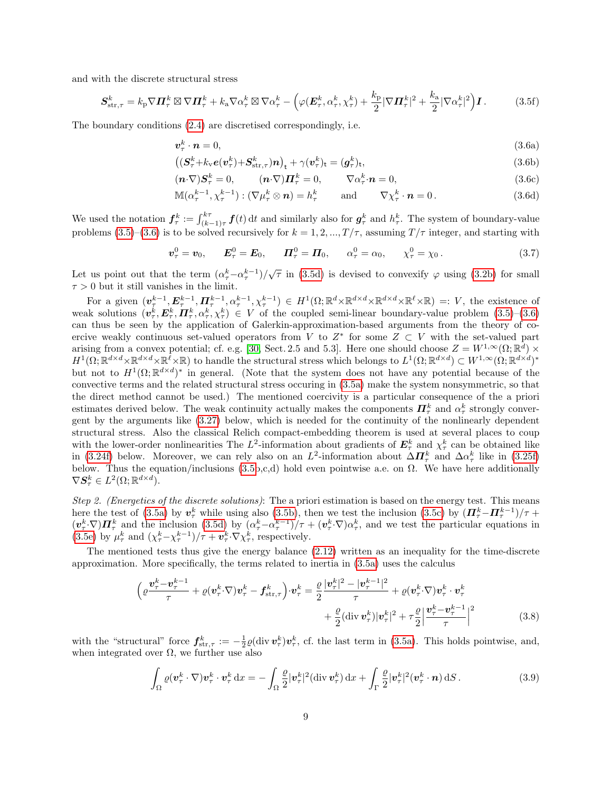and with the discrete structural stress

$$
\mathbf{S}_{\text{str},\tau}^{k} = k_{\text{p}} \nabla \mathbf{\Pi}_{\tau}^{k} \boxtimes \nabla \mathbf{\Pi}_{\tau}^{k} + k_{\text{a}} \nabla \alpha_{\tau}^{k} \boxtimes \nabla \alpha_{\tau}^{k} - \left( \varphi(\mathbf{E}_{\tau}^{k}, \alpha_{\tau}^{k}, \chi_{\tau}^{k}) + \frac{k_{\text{p}}}{2} |\nabla \mathbf{\Pi}_{\tau}^{k}|^{2} + \frac{k_{\text{a}}}{2} |\nabla \alpha_{\tau}^{k}|^{2} \right) \mathbf{I}.
$$
 (3.5f)

The boundary conditions [\(2.4\)](#page-2-12) are discretised correspondingly, i.e.

<span id="page-8-3"></span><span id="page-8-0"></span>
$$
\boldsymbol{v}_{\tau}^k \cdot \boldsymbol{n} = 0,\tag{3.6a}
$$

$$
\left( \left( \mathbf{S}_{\tau}^{k} + k_{\mathbf{v}} e(\mathbf{v}_{\tau}^{k}) + \mathbf{S}_{\text{str},\tau}^{k} \right) \mathbf{n} \right)_{t} + \gamma (\mathbf{v}_{\tau}^{k})_{t} = (\mathbf{g}_{\tau}^{k})_{t},\tag{3.6b}
$$

<span id="page-8-4"></span>
$$
(\boldsymbol{n} \cdot \nabla) \boldsymbol{S}_{\tau}^{k} = 0, \qquad (\boldsymbol{n} \cdot \nabla) \boldsymbol{\Pi}_{\tau}^{k} = 0, \qquad \nabla \alpha_{\tau}^{k} \cdot \boldsymbol{n} = 0,
$$
\n(3.6c)

$$
\mathbb{M}(\alpha_{\tau}^{k-1}, \chi_{\tau}^{k-1}) : (\nabla \mu_{\tau}^k \otimes \mathbf{n}) = h_{\tau}^k \quad \text{and} \quad \nabla \chi_{\tau}^k \cdot \mathbf{n} = 0. \tag{3.6d}
$$

We used the notation  $f_{\tau}^k := \int_{(k-1)\tau}^{k\tau} f(t) dt$  and similarly also for  $g_{\tau}^k$  and  $h_{\tau}^k$ . The system of boundary-value problems [\(3.5\)](#page-7-1)–[\(3.6\)](#page-8-0) is to be solved recursively for  $k = 1, 2, ..., T/\tau$ , assuming  $T/\tau$  integer, and starting with

$$
\boldsymbol{v}_{\tau}^{0} = \boldsymbol{v}_{0}, \qquad \boldsymbol{E}_{\tau}^{0} = \boldsymbol{E}_{0}, \qquad \boldsymbol{\Pi}_{\tau}^{0} = \boldsymbol{\Pi}_{0}, \qquad \alpha_{\tau}^{0} = \alpha_{0}, \qquad \chi_{\tau}^{0} = \chi_{0}.
$$
 (3.7)

Let us point out that the term  $(\alpha_{\tau}^{k}-\alpha_{\tau}^{k-1})/\sqrt{\tau}$  in [\(3.5d\)](#page-7-2) is devised to convexify  $\varphi$  using [\(3.2b\)](#page-6-4) for small  $\tau > 0$  but it still vanishes in the limit.

For a given  $(\boldsymbol{v}_{\tau}^{k-1}, \boldsymbol{E}_{\tau}^{k-1}, \boldsymbol{\Pi}_{\tau}^{k-1}, \alpha_{\tau}^{k-1}, \chi_{\tau}^{k-1}) \in H^{1}(\Omega; \mathbb{R}^{d} \times \mathbb{R}^{d \times d} \times \mathbb{R}^{d \times d} \times \mathbb{R}^{\ell} \times \mathbb{R}) =: V$ , the existence of weak solutions  $(\mathbf{v}_\tau^k, \mathbf{E}_\tau^k, \mathbf{\Pi}_\tau^k, \alpha_\tau^k, \chi_\tau^k) \in V$  of the coupled semi-linear boundary-value problem  $(3.5)-(3.6)$  $(3.5)-(3.6)$ can thus be seen by the application of Galerkin-approximation-based arguments from the theory of coercive weakly continuous set-valued operators from V to  $Z^*$  for some  $Z \subset V$  with the set-valued part arising from a convex potential; cf. e.g. [\[30,](#page-17-16) Sect. 2.5 and 5.3]. Here one should choose  $Z = W^{1,\infty}(\Omega;\mathbb{R}^d) \times$  $H^1(\Omega;\mathbb{R}^{d\times d}\times\mathbb{R}^{d}\times\mathbb{R}^{\ell}\times\mathbb{R})$  to handle the structural stress which belongs to  $L^1(\Omega;\mathbb{R}^{d\times d})\subset W^{1,\infty}(\Omega;\mathbb{R}^{d\times d})^*$ but not to  $H^1(\Omega;\mathbb{R}^{d\times d})^*$  in general. (Note that the system does not have any potential because of the convective terms and the related structural stress occuring in [\(3.5a\)](#page-7-3) make the system nonsymmetric, so that the direct method cannot be used.) The mentioned coercivity is a particular consequence of the a priori estimates derived below. The weak continuity actually makes the components  $\mathbf{\Pi}_{\tau}^{k}$  and  $\alpha_{\tau}^{k}$  strongly convergent by the arguments like [\(3.27\)](#page-13-0) below, which is needed for the continuity of the nonlinearly dependent structural stress. Also the classical Relich compact-embedding theorem is used at several places to coup with the lower-order nonlinearities The  $L^2$ -information about gradients of  $E^k_\tau$  and  $\chi^k_\tau$  can be obtained like in [\(3.24f\)](#page-13-1) below. Moreover, we can rely also on an  $L^2$ -information about  $\Delta \mathbf{\Pi}^k_\tau$  and  $\Delta \alpha^k_\tau$  like in [\(3.25f\)](#page-13-2) below. Thus the equation/inclusions [\(3.5b](#page-7-1),c,d) hold even pointwise a.e. on  $\Omega$ . We have here additionally  $\nabla S^k_\tau \in L^2(\Omega;\mathbb{R}^{d \times d}).$ 

Step 2. (Energetics of the discrete solutions): The a priori estimation is based on the energy test. This means here the test of [\(3.5a\)](#page-7-3) by  $v_\tau^k$  while using also [\(3.5b\)](#page-7-4), then we test the inclusion [\(3.5c\)](#page-7-5) by  $(\Pi_\tau^k - \Pi_\tau^{k-1})/\tau$  +  $(v_\tau^k \nabla) \mathbf{\Pi}_{\tau}^k$  and the inclusion [\(3.5d\)](#page-7-2) by  $(\alpha_{\tau}^k - \alpha_{\tau}^{k-1})/\tau + (v_\tau^k \nabla) \alpha_{\tau}^k$ , and we test the particular equations in [\(3.5e\)](#page-7-6) by  $\mu_{\tau}^{k}$  and  $(\chi_{\tau}^{k} - \chi_{\tau}^{k-1})/\tau + \boldsymbol{v}_{\tau}^{k} \cdot \nabla \chi_{\tau}^{k}$ , respectively.

The mentioned tests thus give the energy balance [\(2.12\)](#page-4-2) written as an inequality for the time-discrete approximation. More specifically, the terms related to inertia in [\(3.5a\)](#page-7-3) uses the calculus

$$
\left(\varrho\frac{\boldsymbol{v}_{\tau}^{k}-\boldsymbol{v}_{\tau}^{k-1}}{\tau}+\varrho(\boldsymbol{v}_{\tau}^{k}\cdot\nabla)\boldsymbol{v}_{\tau}^{k}-\boldsymbol{f}_{\text{str},\tau}^{k}\right)\cdot\boldsymbol{v}_{\tau}^{k}=\frac{\varrho}{2}\frac{|\boldsymbol{v}_{\tau}^{k}|^{2}-|\boldsymbol{v}_{\tau}^{k-1}|^{2}}{\tau}+\varrho(\boldsymbol{v}_{\tau}^{k}\cdot\nabla)\boldsymbol{v}_{\tau}^{k}\cdot\boldsymbol{v}_{\tau}^{k}+\frac{\varrho}{2}(\text{div}\,\boldsymbol{v}_{\tau}^{k})|\boldsymbol{v}_{\tau}^{k}|^{2}+\tau\frac{\varrho}{2}\left|\frac{\boldsymbol{v}_{\tau}^{k}-\boldsymbol{v}_{\tau}^{k-1}}{\tau}\right|^{2}\tag{3.8}
$$

with the "structural" force  $f_{str,\tau}^k := -\frac{1}{2} \varrho(\text{div } \boldsymbol{v}_\tau^k) \boldsymbol{v}_\tau^k$ , cf. the last term in [\(3.5a\)](#page-7-3). This holds pointwise, and, when integrated over  $\Omega$ , we further use also

<span id="page-8-2"></span><span id="page-8-1"></span>
$$
\int_{\Omega} \varrho(\boldsymbol{v}_{\tau}^{k} \cdot \nabla) \boldsymbol{v}_{\tau}^{k} \cdot \boldsymbol{v}_{\tau}^{k} dx = -\int_{\Omega} \frac{\varrho}{2} |\boldsymbol{v}_{\tau}^{k}|^{2} (\text{div } \boldsymbol{v}_{\tau}^{k}) dx + \int_{\Gamma} \frac{\varrho}{2} |\boldsymbol{v}_{\tau}^{k}|^{2} (\boldsymbol{v}_{\tau}^{k} \cdot \boldsymbol{n}) dS. \tag{3.9}
$$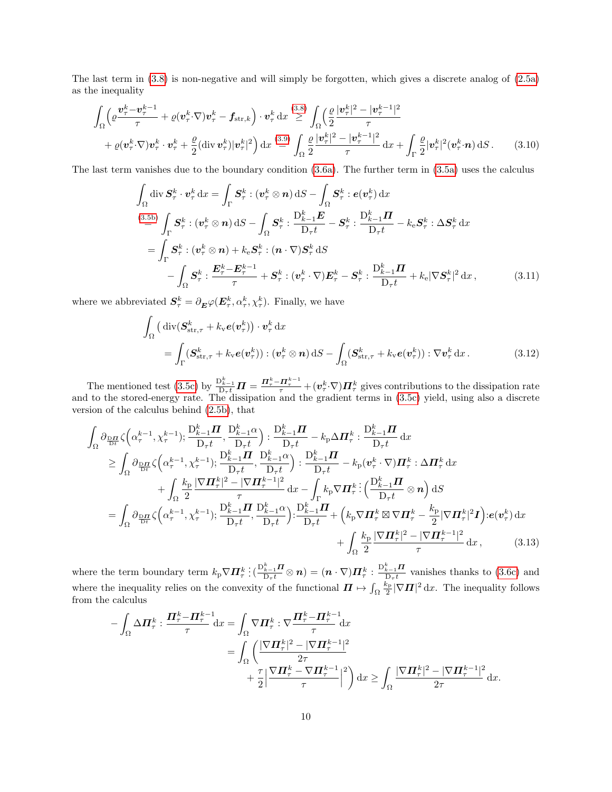The last term in [\(3.8\)](#page-8-1) is non-negative and will simply be forgotten, which gives a discrete analog of [\(2.5a\)](#page-3-1) as the inequality

$$
\int_{\Omega} \left( \varrho \frac{\boldsymbol{v}_{\tau}^{k} - \boldsymbol{v}_{\tau}^{k-1}}{\tau} + \varrho (\boldsymbol{v}_{\tau}^{k} \nabla) \boldsymbol{v}_{\tau}^{k} - \boldsymbol{f}_{\text{str},k} \right) \cdot \boldsymbol{v}_{\tau}^{k} dx \stackrel{(3.8)}{\geq} \int_{\Omega} \left( \frac{\varrho}{2} \frac{|\boldsymbol{v}_{\tau}^{k}|^{2} - |\boldsymbol{v}_{\tau}^{k-1}|^{2}}{\tau} + \varrho (\boldsymbol{v}_{\tau}^{k} \nabla) \boldsymbol{v}_{\tau}^{k} \cdot \boldsymbol{v}_{\tau}^{k} + \frac{\varrho}{2} (\text{div } \boldsymbol{v}_{\tau}^{k}) |\boldsymbol{v}_{\tau}^{k}|^{2} \right) dx \stackrel{(3.9)}{=} \int_{\Omega} \frac{\varrho}{2} \frac{|\boldsymbol{v}_{\tau}^{k}|^{2} - |\boldsymbol{v}_{\tau}^{k-1}|^{2}}{\tau} dx + \int_{\Gamma} \frac{\varrho}{2} |\boldsymbol{v}_{\tau}^{k}|^{2} (\boldsymbol{v}_{\tau}^{k} \cdot \boldsymbol{n}) dS. \tag{3.10}
$$

The last term vanishes due to the boundary condition [\(3.6a\)](#page-8-3). The further term in [\(3.5a\)](#page-7-3) uses the calculus

$$
\int_{\Omega} \operatorname{div} \mathbf{S}_{\tau}^{k} \cdot \mathbf{v}_{\tau}^{k} \operatorname{d}x = \int_{\Gamma} \mathbf{S}_{\tau}^{k} : (\mathbf{v}_{\tau}^{k} \otimes \mathbf{n}) \operatorname{d}S - \int_{\Omega} \mathbf{S}_{\tau}^{k} : e(\mathbf{v}_{\tau}^{k}) \operatorname{d}x \n\stackrel{(3.5b)}{=} \int_{\Gamma} \mathbf{S}_{\tau}^{k} : (\mathbf{v}_{\tau}^{k} \otimes \mathbf{n}) \operatorname{d}S - \int_{\Omega} \mathbf{S}_{\tau}^{k} : \frac{\mathbf{D}_{k-1}^{k} \mathbf{E}}{\mathbf{D}_{\tau} t} - \mathbf{S}_{\tau}^{k} : \frac{\mathbf{D}_{k-1}^{k} \mathbf{H}}{\mathbf{D}_{\tau} t} - k_{e} \mathbf{S}_{\tau}^{k} : \Delta \mathbf{S}_{\tau}^{k} \operatorname{d}x \n= \int_{\Gamma} \mathbf{S}_{\tau}^{k} : (\mathbf{v}_{\tau}^{k} \otimes \mathbf{n}) + k_{e} \mathbf{S}_{\tau}^{k} : (\mathbf{n} \cdot \nabla) \mathbf{S}_{\tau}^{k} \operatorname{d}S \n- \int_{\Omega} \mathbf{S}_{\tau}^{k} : \frac{\mathbf{E}_{\tau}^{k} - \mathbf{E}_{\tau}^{k-1}}{\tau} + \mathbf{S}_{\tau}^{k} : (\mathbf{v}_{\tau}^{k} \cdot \nabla) \mathbf{E}_{\tau}^{k} - \mathbf{S}_{\tau}^{k} : \frac{\mathbf{D}_{k-1}^{k} \mathbf{H}}{\mathbf{D}_{\tau} t} + k_{e} |\nabla \mathbf{S}_{\tau}^{k}|^{2} \operatorname{d}x, \tag{3.11}
$$

where we abbreviated  $S^k_\tau = \partial_{\boldsymbol{E}} \varphi(\boldsymbol{E}^k_\tau, \alpha^k_\tau, \chi^k_\tau)$ . Finally, we have

<span id="page-9-1"></span>
$$
\int_{\Omega} \left( \operatorname{div} (\mathbf{S}_{\operatorname{str},\tau}^{k} + k_{\operatorname{v}} e(\mathbf{v}_{\tau}^{k})) \cdot \mathbf{v}_{\tau}^{k} \, \mathrm{d}x \right) \n= \int_{\Gamma} (\mathbf{S}_{\operatorname{str},\tau}^{k} + k_{\operatorname{v}} e(\mathbf{v}_{\tau}^{k})) : (\mathbf{v}_{\tau}^{k} \otimes \mathbf{n}) \, \mathrm{d}S - \int_{\Omega} (\mathbf{S}_{\operatorname{str},\tau}^{k} + k_{\operatorname{v}} e(\mathbf{v}_{\tau}^{k})) : \nabla \mathbf{v}_{\tau}^{k} \, \mathrm{d}x. \tag{3.12}
$$

The mentioned test [\(3.5c\)](#page-7-5) by  $\frac{D_{k-1}^k}{D_{\tau}t}\mathbf{\Pi} = \frac{\mathbf{\Pi}_{\tau}^k - \mathbf{\Pi}_{\tau}^{k-1}}{\tau} + (\mathbf{v}_{\tau}^k \nabla) \mathbf{\Pi}_{\tau}^k$  gives contributions to the dissipation rate and to the stored-energy rate. The dissipation and the gradient terms in [\(3.5c\)](#page-7-5) yield, using also a discrete version of the calculus behind [\(2.5b\)](#page-3-0), that

$$
\int_{\Omega} \partial_{\frac{\mathbf{D}\mathbf{H}}{\mathbf{D}t}} \zeta (\alpha_{\tau}^{k-1}, \chi_{\tau}^{k-1}); \frac{\mathbf{D}_{k-1}^{k} \mathbf{H}}{\mathbf{D}_{\tau}t}, \frac{\mathbf{D}_{k-1}^{k} \mathbf{H}}{\mathbf{D}_{\tau}t} - k_{\mathbf{p}} \Delta \mathbf{\Pi}_{\tau}^{k} : \frac{\mathbf{D}_{k-1}^{k} \mathbf{H}}{\mathbf{D}_{\tau}t} dx \n\geq \int_{\Omega} \partial_{\frac{\mathbf{D}\mathbf{H}}{\mathbf{D}t}} \zeta (\alpha_{\tau}^{k-1}, \chi_{\tau}^{k-1}); \frac{\mathbf{D}_{k-1}^{k} \mathbf{H}}{\mathbf{D}_{\tau}t}, \frac{\mathbf{D}_{k-1}^{k} \mathbf{H}}{\mathbf{D}_{\tau}t} - k_{\mathbf{p}} (\mathbf{v}_{\tau}^{k} \cdot \nabla) \mathbf{\Pi}_{\tau}^{k} : \Delta \mathbf{\Pi}_{\tau}^{k} dx \n+ \int_{\Omega} \frac{k_{\mathbf{p}}}{2} \frac{|\nabla \mathbf{\Pi}_{\tau}^{k}|^{2} - |\nabla \mathbf{\Pi}_{\tau}^{k-1}|^{2}}{\tau} dx - \int_{\Gamma} k_{\mathbf{p}} \nabla \mathbf{\Pi}_{\tau}^{k} : (\frac{\mathbf{D}_{k-1}^{k} \mathbf{H}}{\mathbf{D}_{\tau}t} \otimes \mathbf{n}) dS \n= \int_{\Omega} \partial_{\frac{\mathbf{D}\mathbf{H}}{\mathbf{D}t}} \zeta (\alpha_{\tau}^{k-1}, \chi_{\tau}^{k-1}); \frac{\mathbf{D}_{k-1}^{k} \mathbf{H}}{\mathbf{D}_{\tau}t}, \frac{\mathbf{D}_{k-1}^{k} \alpha}{\mathbf{D}_{\tau}t} : (\frac{\mathbf{D}_{k-1}^{k} \mathbf{H}}{\mathbf{D}_{\tau}t} + (\kappa_{\mathbf{p}} \nabla \mathbf{\Pi}_{\tau}^{k} \boxtimes \nabla \mathbf{\Pi}_{\tau}^{k} - \frac{k_{\mathbf{p}}}{2} |\nabla \mathbf{\Pi}_{\tau}^{k}|^{2} \mathbf{I}) : e(\mathbf{v}_{\tau}^{k}) dx
$$

where the term boundary term  $k_{\rm p} \nabla \Pi_{\tau}^k$  $\frac{\sum_{k=1}^k \bm{\Pi}}{\mathrm{D}_\tau t} \otimes \bm{n} ) = (\bm{n} \cdot \nabla) \bm{\varPi}^k_\tau : \frac{\mathrm{D}^k_{k-1} \bm{\Pi}}{\mathrm{D}_\tau t}$  $\frac{k-1}{D_{\tau}t}$  vanishes thanks to [\(3.6c\)](#page-8-4) and where the inequality relies on the convexity of the functional  $\boldsymbol{\varPi} \mapsto \int_{\Omega}$  $\frac{k_{\rm p}}{2} |\nabla \Pi|^2 \, \mathrm{d}x$ . The inequality follows from the calculus

<span id="page-9-0"></span>
$$
-\int_{\Omega} \Delta \mathbf{\Pi}_{\tau}^{k} : \frac{\mathbf{\Pi}_{\tau}^{k} - \mathbf{\Pi}_{\tau}^{k-1}}{\tau} dx = \int_{\Omega} \nabla \mathbf{\Pi}_{\tau}^{k} : \nabla \frac{\mathbf{\Pi}_{\tau}^{k} - \mathbf{\Pi}_{\tau}^{k-1}}{\tau} dx
$$
  
\n
$$
= \int_{\Omega} \left( \frac{|\nabla \mathbf{\Pi}_{\tau}^{k}|^{2} - |\nabla \mathbf{\Pi}_{\tau}^{k-1}|^{2}}{2\tau} + \frac{\tau}{2} \left| \frac{\nabla \mathbf{\Pi}_{\tau}^{k} - \nabla \mathbf{\Pi}_{\tau}^{k-1}}{\tau} \right|^{2} \right) dx \ge \int_{\Omega} \frac{|\nabla \mathbf{\Pi}_{\tau}^{k}|^{2} - |\nabla \mathbf{\Pi}_{\tau}^{k-1}|^{2}}{2\tau} dx. \end{aligned}
$$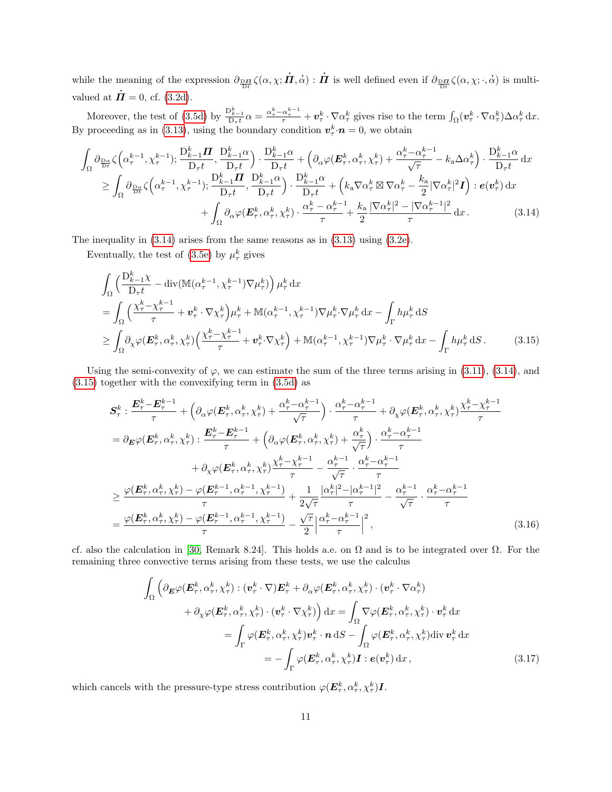while the meaning of the expression  $\partial_{\frac{\text{D}\mathbf{\Pi}}{\text{D}t}} \zeta(\alpha, \chi; \dot{\mathbf{\Pi}}, \dot{\alpha}) : \dot{\mathbf{\Pi}}$  is well defined even if  $\partial_{\frac{\text{D}\mathbf{\Pi}}{\text{D}t}} \zeta(\alpha, \chi; \cdot, \dot{\alpha})$  is multivalued at  $\mathbf{\Pi} = 0$ , cf. [\(3.2d\)](#page-6-5).

Moreover, the test of [\(3.5d\)](#page-7-2) by  $\frac{D_k^k-1}{D_\tau t} \alpha = \frac{\alpha_\tau^k - \alpha_\tau^{k-1}}{\tau} + v_\tau^k \cdot \nabla \alpha_\tau^k$  gives rise to the term  $\int_{\Omega} (v_\tau^k \cdot \nabla \alpha_\tau^k) \Delta \alpha_\tau^k dx$ . By proceeding as in [\(3.13\)](#page-9-0), using the boundary condition  $v^k_\tau \cdot \mathbf{n} = 0$ , we obtain

$$
\int_{\Omega} \partial_{\frac{\mathbf{D}\alpha}{\mathbf{D}t}} \zeta \left( \alpha_{\tau}^{k-1}, \chi_{\tau}^{k-1} \right); \frac{\mathbf{D}_{k-1}^{k} \mathbf{I}}{\mathbf{D}_{\tau}t} \frac{\mathbf{D}_{k-1}^{k} \alpha}{\mathbf{D}_{\tau}t} \right) \cdot \frac{\mathbf{D}_{k-1}^{k} \alpha}{\mathbf{D}_{\tau}t} + \left( \partial_{\alpha} \varphi (\mathbf{E}_{\tau}^{k}, \alpha_{\tau}^{k}, \chi_{\tau}^{k}) + \frac{\alpha_{\tau}^{k} - \alpha_{\tau}^{k-1}}{\sqrt{\tau}} - k_{a} \Delta \alpha_{\tau}^{k} \right) \cdot \frac{\mathbf{D}_{k-1}^{k} \alpha}{\mathbf{D}_{\tau}t} \, \mathrm{d}x
$$
\n
$$
\geq \int_{\Omega} \partial_{\frac{\mathbf{D}\alpha}{\mathbf{D}t}} \zeta \left( \alpha_{\tau}^{k-1}, \chi_{\tau}^{k-1} \right); \frac{\mathbf{D}_{k-1}^{k} \mathbf{I} \mathbf{I}}{\mathbf{D}_{\tau}t} \frac{\mathbf{D}_{k-1}^{k} \alpha}{\mathbf{D}_{\tau}t} \right) \cdot \frac{\mathbf{D}_{k-1}^{k} \alpha}{\mathbf{D}_{\tau}t} + \left( k_{a} \nabla \alpha_{\tau}^{k} \boxtimes \nabla \alpha_{\tau}^{k} - \frac{k_{a}}{2} |\nabla \alpha_{\tau}^{k}|^{2} \mathbf{I} \right) : e(\mathbf{v}_{\tau}^{k}) \, \mathrm{d}x
$$
\n
$$
+ \int_{\Omega} \partial_{\alpha} \varphi (\mathbf{E}_{\tau}^{k}, \alpha_{\tau}^{k}, \chi_{\tau}^{k}) \cdot \frac{\alpha_{\tau}^{k} - \alpha_{\tau}^{k-1}}{\tau} + \frac{k_{a}}{2} \frac{|\nabla \alpha_{\tau}^{k}|^{2} - |\nabla \alpha_{\tau}^{k-1}|^{2}}{\tau} \, \mathrm{d}x \,. \tag{3.14}
$$

The inequality in [\(3.14\)](#page-10-0) arises from the same reasons as in [\(3.13\)](#page-9-0) using [\(3.2e\)](#page-6-6).

Eventually, the test of [\(3.5e\)](#page-7-6) by  $\mu_{\tau}^{k}$  gives

<span id="page-10-0"></span>
$$
\int_{\Omega} \left( \frac{D_{k-1}^{k} \chi}{D_{\tau} t} - \text{div}(\mathbb{M}(\alpha_{\tau}^{k-1}, \chi_{\tau}^{k-1}) \nabla \mu_{\tau}^{k}) \right) \mu_{\tau}^{k} dx \n= \int_{\Omega} \left( \frac{\chi_{\tau}^{k} - \chi_{\tau}^{k-1}}{\tau} + \mathbf{v}_{\tau}^{k} \cdot \nabla \chi_{\tau}^{k} \right) \mu_{\tau}^{k} + \mathbb{M}(\alpha_{\tau}^{k-1}, \chi_{\tau}^{k-1}) \nabla \mu_{\tau}^{k} \cdot \nabla \mu_{\tau}^{k} dx - \int_{\Gamma} h \mu_{\tau}^{k} dS \n\geq \int_{\Omega} \partial_{\chi} \varphi(\mathbf{E}_{\tau}^{k}, \alpha_{\tau}^{k}, \chi_{\tau}^{k}) \left( \frac{\chi_{\tau}^{k} - \chi_{\tau}^{k-1}}{\tau} + \mathbf{v}_{\tau}^{k} \cdot \nabla \chi_{\tau}^{k} \right) + \mathbb{M}(\alpha_{\tau}^{k-1}, \chi_{\tau}^{k-1}) \nabla \mu_{\tau}^{k} \cdot \nabla \mu_{\tau}^{k} dx - \int_{\Gamma} h \mu_{\tau}^{k} dS.
$$
\n(3.15)

Using the semi-convexity of  $\varphi$ , we can estimate the sum of the three terms arising in [\(3.11\)](#page-9-1), [\(3.14\)](#page-10-0), and [\(3.15\)](#page-10-1) together with the convexifying term in [\(3.5d\)](#page-7-2) as

<span id="page-10-1"></span>
$$
S_{\tau}^{k}: \frac{E_{\tau}^{k}-E_{\tau}^{k-1}}{\tau} + \left(\partial_{\alpha}\varphi(E_{\tau}^{k},\alpha_{\tau}^{k},\chi_{\tau}^{k}) + \frac{\alpha_{\tau}^{k}-\alpha_{\tau}^{k-1}}{\sqrt{\tau}}\right) \cdot \frac{\alpha_{\tau}^{k}-\alpha_{\tau}^{k-1}}{\tau} + \partial_{\chi}\varphi(E_{\tau}^{k},\alpha_{\tau}^{k},\chi_{\tau}^{k})\frac{\chi_{\tau}^{k}-\chi_{\tau}^{k-1}}{\tau}
$$
\n
$$
= \partial_{\mathbf{E}}\varphi(E_{\tau}^{k},\alpha_{\tau}^{k},\chi_{\tau}^{k}) : \frac{E_{\tau}^{k}-E_{\tau}^{k-1}}{\tau} + \left(\partial_{\alpha}\varphi(E_{\tau}^{k},\alpha_{\tau}^{k},\chi_{\tau}^{k}) + \frac{\alpha_{\tau}^{k}}{\sqrt{\tau}}\right) \cdot \frac{\alpha_{\tau}^{k}-\alpha_{\tau}^{k-1}}{\tau}
$$
\n
$$
+ \partial_{\chi}\varphi(E_{\tau}^{k},\alpha_{\tau}^{k},\chi_{\tau}^{k})\frac{\chi_{\tau}^{k}-\chi_{\tau}^{k-1}}{\tau} - \frac{\alpha_{\tau}^{k-1}}{\sqrt{\tau}} \cdot \frac{\alpha_{\tau}^{k}-\alpha_{\tau}^{k-1}}{\tau}
$$
\n
$$
\geq \frac{\varphi(E_{\tau}^{k},\alpha_{\tau}^{k},\chi_{\tau}^{k}) - \varphi(E_{\tau}^{k-1},\alpha_{\tau}^{k-1},\chi_{\tau}^{k-1})}{\tau} + \frac{1}{2\sqrt{\tau}} \frac{|\alpha_{\tau}^{k}|^{2} - |\alpha_{\tau}^{k-1}|^{2}}{\tau} - \frac{\alpha_{\tau}^{k-1}}{\sqrt{\tau}} \cdot \frac{\alpha_{\tau}^{k}-\alpha_{\tau}^{k-1}}{\tau}
$$
\n
$$
= \frac{\varphi(E_{\tau}^{k},\alpha_{\tau}^{k},\chi_{\tau}^{k}) - \varphi(E_{\tau}^{k-1},\alpha_{\tau}^{k-1},\chi_{\tau}^{k-1})}{\tau} - \frac{\sqrt{\tau}}{2} |\frac{\alpha_{\tau}^{k}-\alpha_{\tau}^{k-1}}{\tau}|^{2}, \qquad (3.1
$$

cf. also the calculation in [\[30,](#page-17-16) Remark 8.24]. This holds a.e. on  $\Omega$  and is to be integrated over  $\Omega$ . For the remaining three convective terms arising from these tests, we use the calculus

<span id="page-10-3"></span><span id="page-10-2"></span>
$$
\int_{\Omega} \left( \partial_{\mathbf{E}} \varphi(\mathbf{E}_{\tau}^{k}, \alpha_{\tau}^{k}, \chi_{\tau}^{k}) : (\mathbf{v}_{\tau}^{k} \cdot \nabla) \mathbf{E}_{\tau}^{k} + \partial_{\alpha} \varphi(\mathbf{E}_{\tau}^{k}, \alpha_{\tau}^{k}, \chi_{\tau}^{k}) \cdot (\mathbf{v}_{\tau}^{k} \cdot \nabla \alpha_{\tau}^{k}) \n+ \partial_{\chi} \varphi(\mathbf{E}_{\tau}^{k}, \alpha_{\tau}^{k}, \chi_{\tau}^{k}) \cdot (\mathbf{v}_{\tau}^{k} \cdot \nabla \chi_{\tau}^{k}) \right) dx = \int_{\Omega} \nabla \varphi(\mathbf{E}_{\tau}^{k}, \alpha_{\tau}^{k}, \chi_{\tau}^{k}) \cdot \mathbf{v}_{\tau}^{k} dx \n= \int_{\Gamma} \varphi(\mathbf{E}_{\tau}^{k}, \alpha_{\tau}^{k}, \chi_{\tau}^{k}) \mathbf{v}_{\tau}^{k} \cdot \mathbf{n} dS - \int_{\Omega} \varphi(\mathbf{E}_{\tau}^{k}, \alpha_{\tau}^{k}, \chi_{\tau}^{k}) \operatorname{div} \mathbf{v}_{\tau}^{k} dx \n= - \int_{\Gamma} \varphi(\mathbf{E}_{\tau}^{k}, \alpha_{\tau}^{k}, \chi_{\tau}^{k}) \mathbf{I} : \mathbf{e}(\mathbf{v}_{\tau}^{k}) dx , \qquad (3.17)
$$

which cancels with the pressure-type stress contribution  $\varphi(E_\tau^k, \alpha_\tau^k, \chi_\tau^k)I$ .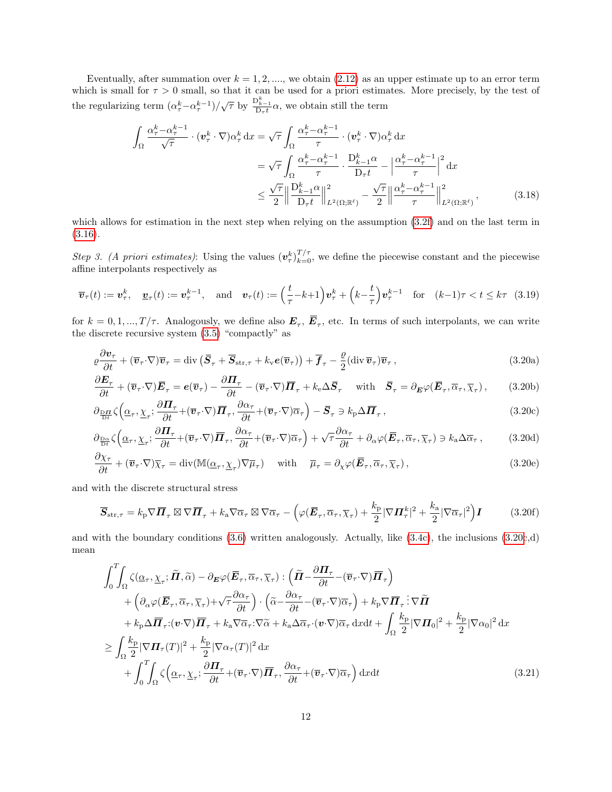Eventually, after summation over  $k = 1, 2, \dots$ , we obtain [\(2.12\)](#page-4-2) as an upper estimate up to an error term which is small for  $\tau > 0$  small, so that it can be used for a priori estimates. More precisely, by the test of the regularizing term  $(\alpha_{\tau}^{k} - \alpha_{\tau}^{k-1})/\sqrt{\tau}$  by  $\frac{D_{k-1}^{k}}{D_{\tau} t} \alpha$ , we obtain still the term

$$
\int_{\Omega} \frac{\alpha_{\tau}^{k} - \alpha_{\tau}^{k-1}}{\sqrt{\tau}} \cdot (\boldsymbol{v}_{\tau}^{k} \cdot \nabla) \alpha_{\tau}^{k} d\boldsymbol{x} = \sqrt{\tau} \int_{\Omega} \frac{\alpha_{\tau}^{k} - \alpha_{\tau}^{k-1}}{\tau} \cdot (\boldsymbol{v}_{\tau}^{k} \cdot \nabla) \alpha_{\tau}^{k} d\boldsymbol{x}
$$
\n
$$
= \sqrt{\tau} \int_{\Omega} \frac{\alpha_{\tau}^{k} - \alpha_{\tau}^{k-1}}{\tau} \cdot \frac{D_{k-1}^{k} \alpha}{D_{\tau} t} - \left| \frac{\alpha_{\tau}^{k} - \alpha_{\tau}^{k-1}}{\tau} \right|^{2} d\boldsymbol{x}
$$
\n
$$
\leq \frac{\sqrt{\tau}}{2} \left\| \frac{D_{k-1}^{k} \alpha}{D_{\tau} t} \right\|_{L^{2}(\Omega; \mathbb{R}^{k})}^{2} - \frac{\sqrt{\tau}}{2} \left\| \frac{\alpha_{\tau}^{k} - \alpha_{\tau}^{k-1}}{\tau} \right\|_{L^{2}(\Omega; \mathbb{R}^{k})}^{2}, \tag{3.18}
$$

which allows for estimation in the next step when relying on the assumption  $(3.2f)$  and on the last term in  $(3.16).$  $(3.16).$ 

Step 3. (A priori estimates): Using the values  $(v_\tau^k)_{k=0}^{T/\tau}$ , we define the piecewise constant and the piecewise affine interpolants respectively as

$$
\overline{\boldsymbol{v}}_{\tau}(t) := \boldsymbol{v}_{\tau}^k, \quad \underline{\boldsymbol{v}}_{\tau}(t) := \boldsymbol{v}_{\tau}^{k-1}, \quad \text{and} \quad \boldsymbol{v}_{\tau}(t) := \left(\frac{t}{\tau} - k + 1\right) \boldsymbol{v}_{\tau}^k + \left(k - \frac{t}{\tau}\right) \boldsymbol{v}_{\tau}^{k-1} \quad \text{for} \quad (k-1)\tau < t \leq k\tau \tag{3.19}
$$

for  $k = 0, 1, ..., T/\tau$ . Analogously, we define also  $E_{\tau}$ ,  $E_{\tau}$ , etc. In terms of such interpolants, we can write the discrete recursive system [\(3.5\)](#page-7-1) "compactly" as

<span id="page-11-3"></span><span id="page-11-0"></span>
$$
\rho \frac{\partial \mathbf{v}_{\tau}}{\partial t} + (\overline{\mathbf{v}}_{\tau} \cdot \nabla) \overline{\mathbf{v}}_{\tau} = \text{div} (\overline{\mathbf{S}}_{\tau} + \overline{\mathbf{S}}_{\text{str},\tau} + k_{\text{v}} \boldsymbol{e}(\overline{\mathbf{v}}_{\tau})) + \overline{\mathbf{f}}_{\tau} - \frac{\rho}{2} (\text{div} \,\overline{\mathbf{v}}_{\tau}) \overline{\mathbf{v}}_{\tau},
$$
(3.20a)

<span id="page-11-2"></span>
$$
\frac{\partial \boldsymbol{E}_{\tau}}{\partial t} + (\overline{\boldsymbol{v}}_{\tau} \cdot \nabla) \overline{\boldsymbol{E}}_{\tau} = \boldsymbol{e}(\overline{\boldsymbol{v}}_{\tau}) - \frac{\partial \boldsymbol{\Pi}_{\tau}}{\partial t} - (\overline{\boldsymbol{v}}_{\tau} \cdot \nabla) \overline{\boldsymbol{\Pi}}_{\tau} + k_{e} \Delta \overline{\boldsymbol{S}}_{\tau} \quad \text{with} \quad \overline{\boldsymbol{S}}_{\tau} = \partial_{\boldsymbol{E}} \varphi(\overline{\boldsymbol{E}}_{\tau}, \overline{\alpha}_{\tau}, \overline{\chi}_{\tau}), \qquad (3.20b)
$$

$$
\partial_{\frac{\mathbf{D}\mathbf{\Pi}}{\mathbf{D}t}}\zeta\left(\underline{\alpha}_{\tau},\underline{\chi}_{\tau};\frac{\partial\mathbf{\Pi}_{\tau}}{\partial t}+(\overline{\mathbf{v}}_{\tau}\cdot\nabla)\overline{\mathbf{\Pi}}_{\tau},\frac{\partial\alpha_{\tau}}{\partial t}+(\overline{\mathbf{v}}_{\tau}\cdot\nabla)\overline{\alpha}_{\tau}\right)-\overline{\mathbf{S}}_{\tau}\ni k_{\mathbf{p}}\Delta\overline{\mathbf{\Pi}}_{\tau},\tag{3.20c}
$$

$$
\partial_{\frac{\mathcal{D}\alpha}{\partial t}}\zeta\left(\underline{\alpha}_{\tau},\underline{\chi}_{\tau};\frac{\partial \Pi_{\tau}}{\partial t}+(\overline{v}_{\tau}\cdot\nabla)\overline{\mathbf{\Pi}}_{\tau},\frac{\partial\alpha_{\tau}}{\partial t}+(\overline{v}_{\tau}\cdot\nabla)\overline{\alpha}_{\tau}\right)+\sqrt{\tau}\frac{\partial\alpha_{\tau}}{\partial t}+\partial_{\alpha}\varphi(\overline{\mathbf{E}}_{\tau},\overline{\alpha}_{\tau},\overline{\chi}_{\tau})\ni k_{\mathbf{a}}\Delta\overline{\alpha}_{\tau},\tag{3.20d}
$$

$$
\frac{\partial \chi_{\tau}}{\partial t} + (\overline{\boldsymbol{v}}_{\tau} \cdot \nabla) \overline{\chi}_{\tau} = \text{div}(\mathbb{M}(\underline{\alpha}_{\tau}, \underline{\chi}_{\tau}) \nabla \overline{\mu}_{\tau}) \quad \text{with} \quad \overline{\mu}_{\tau} = \partial_{\chi} \varphi(\overline{\boldsymbol{E}}_{\tau}, \overline{\alpha}_{\tau}, \overline{\chi}_{\tau}), \tag{3.20e}
$$

and with the discrete structural stress

<span id="page-11-6"></span><span id="page-11-5"></span><span id="page-11-4"></span>
$$
\overline{S}_{str,\tau} = k_p \nabla \overline{\mathbf{\Pi}}_{\tau} \boxtimes \nabla \overline{\mathbf{\Pi}}_{\tau} + k_a \nabla \overline{\alpha}_{\tau} \boxtimes \nabla \overline{\alpha}_{\tau} - \left( \varphi (\overline{\mathbf{E}}_{\tau}, \overline{\alpha}_{\tau}, \overline{\chi}_{\tau}) + \frac{k_p}{2} |\nabla \mathbf{\Pi}_{\tau}^k|^2 + \frac{k_a}{2} |\nabla \overline{\alpha}_{\tau}|^2 \right) \mathbf{I} \tag{3.20f}
$$

and with the boundary conditions [\(3.6\)](#page-8-0) written analogously. Actually, like [\(3.4c\)](#page-7-0), the inclusions [\(3.20c](#page-11-0),d) mean

<span id="page-11-1"></span>
$$
\int_{0}^{T} \int_{\Omega} \zeta(\underline{\alpha}_{\tau}, \underline{\chi}_{\tau}; \widetilde{\boldsymbol{\Pi}}, \widetilde{\alpha}) - \partial_{\boldsymbol{E}} \varphi(\overline{\boldsymbol{E}}_{\tau}, \overline{\alpha}_{\tau}, \overline{\chi}_{\tau}) : (\widetilde{\boldsymbol{\Pi}} - \frac{\partial \boldsymbol{\Pi}_{\tau}}{\partial t} - (\overline{\boldsymbol{v}}_{\tau} \cdot \nabla) \overline{\boldsymbol{\Pi}}_{\tau}) \n+ \left( \partial_{\alpha} \varphi(\overline{\boldsymbol{E}}_{\tau}, \overline{\alpha}_{\tau}, \overline{\chi}_{\tau}) + \sqrt{\tau} \frac{\partial \alpha_{\tau}}{\partial t} \right) \cdot \left( \widetilde{\alpha} - \frac{\partial \alpha_{\tau}}{\partial t} - (\overline{\boldsymbol{v}}_{\tau} \cdot \nabla) \overline{\alpha}_{\tau} \right) + k_{p} \nabla \overline{\boldsymbol{\Pi}}_{\tau} : \nabla \widetilde{\boldsymbol{\Pi}} \n+ k_{p} \Delta \overline{\boldsymbol{\Pi}}_{\tau} : (\boldsymbol{v} \cdot \nabla) \overline{\boldsymbol{\Pi}}_{\tau} + k_{\alpha} \nabla \overline{\alpha}_{\tau} : \nabla \widetilde{\alpha} + k_{\alpha} \Delta \overline{\alpha}_{\tau} \cdot (\boldsymbol{v} \cdot \nabla) \overline{\alpha}_{\tau} \, dxdt + \int_{\Omega} \frac{k_{p}}{2} |\nabla \boldsymbol{\Pi}_{0}|^{2} + \frac{k_{p}}{2} |\nabla \alpha_{0}|^{2} \, dx \n+ \int_{0}^{T} \int_{\Omega} \zeta(\underline{\alpha}_{\tau}, \underline{\chi}_{\tau}; \frac{\partial \boldsymbol{\Pi}_{\tau}}{\partial t} + (\overline{\boldsymbol{v}}_{\tau} \cdot \nabla) \overline{\boldsymbol{\Pi}}_{\tau}, \frac{\partial \alpha_{\tau}}{\partial t} + (\overline{\boldsymbol{v}}_{\tau} \cdot \nabla) \overline{\alpha}_{\tau} \right) dxdt \qquad (3.21)
$$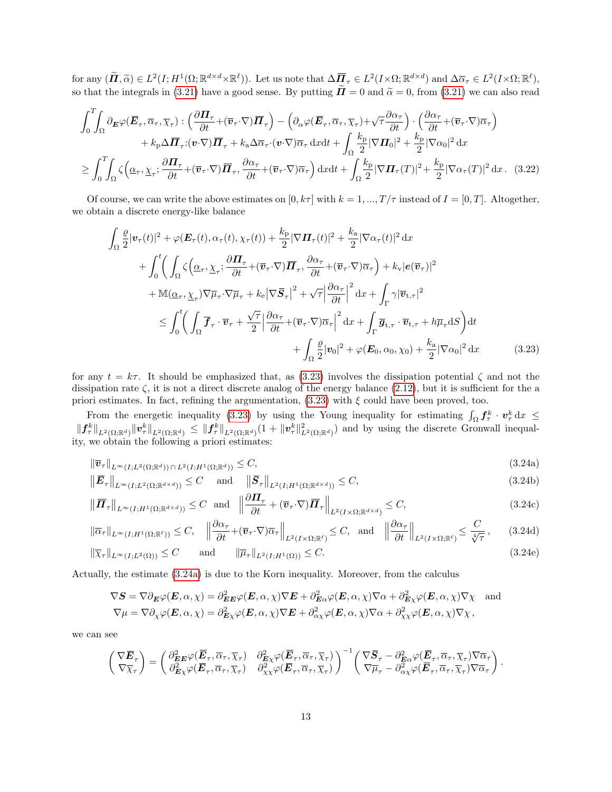for any  $(\tilde{\mathbf{H}}, \tilde{\alpha}) \in L^2(I; H^1(\Omega; \mathbb{R}^{d \times d} \times \mathbb{R}^\ell))$ . Let us note that  $\Delta \overline{\mathbf{H}}_{\tau} \in L^2(I \times \Omega; \mathbb{R}^{d \times d})$  and  $\Delta \overline{\alpha}_{\tau} \in L^2(I \times \Omega; \mathbb{R}^\ell)$ , so that the integrals in [\(3.21\)](#page-11-1) have a good sense. By putting  $\tilde{\mathbf{n}} = 0$  and  $\tilde{\alpha} = 0$ , from (3.21) we can also read

$$
\int_{0}^{T} \int_{\Omega} \partial_{\mathbf{E}} \varphi(\overline{\mathbf{E}}_{\tau}, \overline{\alpha}_{\tau}, \overline{\chi}_{\tau}) : \left( \frac{\partial \mathbf{\Pi}_{\tau}}{\partial t} + (\overline{v}_{\tau} \cdot \nabla) \overline{\mathbf{\Pi}}_{\tau} \right) - \left( \partial_{\alpha} \varphi(\overline{\mathbf{E}}_{\tau}, \overline{\alpha}_{\tau}, \overline{\chi}_{\tau}) + \sqrt{\tau} \frac{\partial \alpha_{\tau}}{\partial t} \right) \cdot \left( \frac{\partial \alpha_{\tau}}{\partial t} + (\overline{v}_{\tau} \cdot \nabla) \overline{\alpha}_{\tau} \right) + k_{\text{p}} \Delta \overline{\mathbf{\Pi}}_{\tau} : (\mathbf{v} \cdot \nabla) \overline{\mathbf{\Pi}}_{\tau} + k_{\text{a}} \Delta \overline{\alpha}_{\tau} \cdot (\mathbf{v} \cdot \nabla) \overline{\alpha}_{\tau} \, \mathrm{d}x \mathrm{d}t + \int_{\Omega} \frac{k_{\text{p}}}{2} |\nabla \mathbf{\Pi}_{0}|^{2} + \frac{k_{\text{p}}}{2} |\nabla \alpha_{0}|^{2} \, \mathrm{d}x \n\geq \int_{0}^{T} \int_{\Omega} \zeta \left( \underline{\alpha}_{\tau}, \underline{\chi}_{\tau}; \frac{\partial \mathbf{\Pi}_{\tau}}{\partial t} + (\overline{v}_{\tau} \cdot \nabla) \overline{\mathbf{\Pi}}_{\tau}, \frac{\partial \alpha_{\tau}}{\partial t} + (\overline{v}_{\tau} \cdot \nabla) \overline{\alpha}_{\tau} \right) \mathrm{d}x \mathrm{d}t + \int_{\Omega} \frac{k_{\text{p}}}{2} |\nabla \mathbf{\Pi}_{\tau}(T)|^{2} + \frac{k_{\text{p}}}{2} |\nabla \alpha_{\tau}(T)|^{2} \, \mathrm{d}x. \tag{3.22}
$$

Of course, we can write the above estimates on  $[0, k\tau]$  with  $k = 1, ..., T/\tau$  instead of  $I = [0, T]$ . Altogether, we obtain a discrete energy-like balance

<span id="page-12-0"></span>
$$
\int_{\Omega} \frac{\varrho}{2} |\mathbf{v}_{\tau}(t)|^{2} + \varphi(\mathbf{E}_{\tau}(t), \alpha_{\tau}(t), \chi_{\tau}(t)) + \frac{k_{\mathrm{p}}}{2} |\nabla \mathbf{\Pi}_{\tau}(t)|^{2} + \frac{k_{\mathrm{a}}}{2} |\nabla \alpha_{\tau}(t)|^{2} \, \mathrm{d}x \n+ \int_{0}^{t} \left( \int_{\Omega} \zeta \left( \underline{\alpha}_{\tau}, \underline{\chi}_{\tau}; \frac{\partial \mathbf{\Pi}_{\tau}}{\partial t} + (\overline{\mathbf{v}}_{\tau} \cdot \nabla) \overline{\mathbf{\Pi}}_{\tau}, \frac{\partial \alpha_{\tau}}{\partial t} + (\overline{\mathbf{v}}_{\tau} \cdot \nabla) \overline{\alpha}_{\tau} \right) + k_{\mathrm{v}} |\mathbf{e}(\overline{\mathbf{v}}_{\tau})|^{2} \right. \n+ \mathbb{M}(\underline{\alpha}_{\tau}, \underline{\chi}_{\tau}) \nabla \overline{\mu}_{\tau} \cdot \nabla \overline{\mu}_{\tau} + k_{\mathrm{e}} |\nabla \overline{\mathbf{S}}_{\tau}|^{2} + \sqrt{\tau} \left| \frac{\partial \alpha_{\tau}}{\partial t} \right|^{2} \mathrm{d}x + \int_{\Gamma} \gamma |\overline{\mathbf{v}}_{\mathrm{t},\tau}|^{2} \n\leq \int_{0}^{t} \left( \int_{\Omega} \overline{\mathbf{f}}_{\tau} \cdot \overline{\mathbf{v}}_{\tau} + \frac{\sqrt{\tau}}{2} \left| \frac{\partial \alpha_{\tau}}{\partial t} + (\overline{\mathbf{v}}_{\tau} \cdot \nabla) \overline{\alpha}_{\tau} \right|^{2} \mathrm{d}x + \int_{\Gamma} \overline{\mathbf{g}}_{\mathrm{t},\tau} \cdot \overline{\mathbf{v}}_{\mathrm{t},\tau} + h \overline{\mu}_{\tau} \mathrm{d}S \right) \mathrm{d}t \n+ \int_{\Omega} \frac{\varrho}{2} |\mathbf{v}_{0}|^{2} + \varphi(\mathbf{E}_{0}, \alpha_{0}, \chi_{0}) + \frac{k_{\mathrm{a}}}{2} |\nabla \alpha_{0}|^{2} \mathrm{d}x \tag{3.23}
$$

for any  $t = k\tau$ . It should be emphasized that, as [\(3.23\)](#page-12-0) involves the dissipation potential  $\zeta$  and not the dissipation rate  $\zeta$ , it is not a direct discrete analog of the energy balance [\(2.12\)](#page-4-2), but it is sufficient for the a priori estimates. In fact, refining the argumentation,  $(3.23)$  with  $\xi$  could have been proved, too.

From the energetic inequality [\(3.23\)](#page-12-0) by using the Young inequality for estimating  $\int_{\Omega} f_{\tau}^k \cdot v_{\tau}^k dx \leq$  $||f^k_\tau||_{L^2(\Omega;\mathbb{R}^d)} ||v^k_\tau||_{L^2(\Omega;\mathbb{R}^d)} \leq ||f^k_\tau||_{L^2(\Omega;\mathbb{R}^d)}(1+||v^k_\tau||^2_{L^2(\Omega;\mathbb{R}^d)})$  and by using the discrete Gronwall inequality, we obtain the following a priori estimates:

<span id="page-12-2"></span><span id="page-12-1"></span>
$$
\|\overline{v}_{\tau}\|_{L^{\infty}(I;L^{2}(\Omega;\mathbb{R}^{d}))\cap L^{2}(I;H^{1}(\Omega;\mathbb{R}^{d}))} \leq C,
$$
\n(3.24a)

$$
\left\|\overline{E}_{\tau}\right\|_{L^{\infty}(I;L^{2}(\Omega;\mathbb{R}^{d\times d}))} \leq C \quad \text{and} \quad \left\|\overline{S}_{\tau}\right\|_{L^{2}(I;H^{1}(\Omega;\mathbb{R}^{d\times d}))} \leq C,
$$
\n(3.24b)

$$
\left\|\overline{\boldsymbol{\Pi}}_{\tau}\right\|_{L^{\infty}(I;H^{1}(\Omega;\mathbb{R}^{d\times d}))} \leq C \quad \text{and} \quad \left\|\frac{\partial \boldsymbol{\Pi}_{\tau}}{\partial t} + (\overline{\boldsymbol{v}}_{\tau} \cdot \nabla) \overline{\boldsymbol{\Pi}}_{\tau}\right\|_{L^{2}(I\times\Omega;\mathbb{R}^{d\times d})} \leq C,
$$
\n(3.24c)

$$
\|\overline{\alpha}_{\tau}\|_{L^{\infty}(I;H^{1}(\Omega;\mathbb{R}^{\ell}))} \leq C, \quad \left\|\frac{\partial\alpha_{\tau}}{\partial t} + (\overline{\boldsymbol{v}}_{\tau} \cdot \nabla)\overline{\alpha}_{\tau}\right\|_{L^{2}(I\times\Omega;\mathbb{R}^{\ell})} \leq C, \text{ and } \left\|\frac{\partial\alpha_{\tau}}{\partial t}\right\|_{L^{2}(I\times\Omega;\mathbb{R}^{\ell})} \leq \frac{C}{\sqrt[4]{\tau}}, \quad (3.24d)
$$

$$
\|\overline{\chi}_{\tau}\|_{L^{\infty}(I;L^{2}(\Omega))} \leq C \quad \text{and} \quad \|\overline{\mu}_{\tau}\|_{L^{2}(I;H^{1}(\Omega))} \leq C. \tag{3.24e}
$$

Actually, the estimate [\(3.24a\)](#page-12-1) is due to the Korn inequality. Moreover, from the calculus

<span id="page-12-5"></span><span id="page-12-4"></span><span id="page-12-3"></span>
$$
\nabla S = \nabla \partial_{\mathbf{E}} \varphi(\mathbf{E}, \alpha, \chi) = \partial_{\mathbf{E}}^2 \varphi(\mathbf{E}, \alpha, \chi) \nabla \mathbf{E} + \partial_{\mathbf{E}}^2 \varphi(\mathbf{E}, \alpha, \chi) \nabla \alpha + \partial_{\mathbf{E}}^2 \varphi(\mathbf{E}, \alpha, \chi) \nabla \chi \text{ and}
$$
  
\n
$$
\nabla \mu = \nabla \partial_{\chi} \varphi(\mathbf{E}, \alpha, \chi) = \partial_{\mathbf{E}}^2 \varphi(\mathbf{E}, \alpha, \chi) \nabla \mathbf{E} + \partial_{\alpha \chi}^2 \varphi(\mathbf{E}, \alpha, \chi) \nabla \alpha + \partial_{\chi \chi}^2 \varphi(\mathbf{E}, \alpha, \chi) \nabla \chi,
$$

we can see

$$
\begin{pmatrix} \nabla \overline{E}_{\tau} \\ \nabla \overline{\chi}_{\tau} \end{pmatrix} = \begin{pmatrix} \partial^2_{EE} \varphi (\overline{E}_{\tau}, \overline{\alpha}_{\tau}, \overline{\chi}_{\tau}) & \partial^2_{E\chi} \varphi (\overline{E}_{\tau}, \overline{\alpha}_{\tau}, \overline{\chi}_{\tau}) \\ \partial^2_{E\chi} \varphi (\overline{E}_{\tau}, \overline{\alpha}_{\tau}, \overline{\chi}_{\tau}) & \partial^2_{\chi\chi} \varphi (\overline{E}_{\tau}, \overline{\alpha}_{\tau}, \overline{\chi}_{\tau}) \end{pmatrix}^{-1} \begin{pmatrix} \nabla \overline{S}_{\tau} - \partial^2_{E\alpha} \varphi (\overline{E}_{\tau}, \overline{\alpha}_{\tau}, \overline{\chi}_{\tau}) \nabla \overline{\alpha}_{\tau} \\ \nabla \overline{\mu}_{\tau} - \partial^2_{\alpha\chi} \varphi (\overline{E}_{\tau}, \overline{\alpha}_{\tau}, \overline{\chi}_{\tau}) \nabla \overline{\alpha}_{\tau} \end{pmatrix}.
$$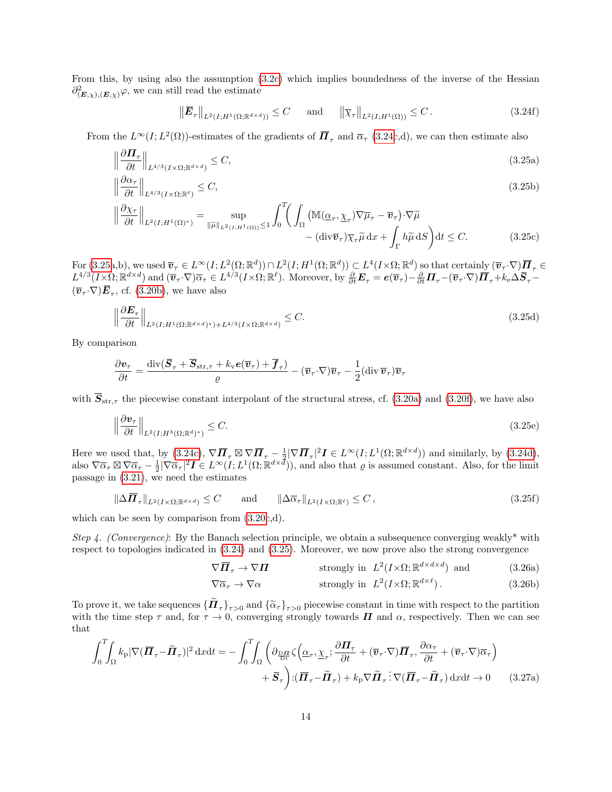From this, by using also the assumption [\(3.2c\)](#page-6-0) which implies boundedness of the inverse of the Hessian  $\partial^2_{(\mathbf{E}, \chi), (\mathbf{E}, \chi)} \varphi$ , we can still read the estimate

<span id="page-13-6"></span><span id="page-13-4"></span><span id="page-13-3"></span><span id="page-13-1"></span>
$$
\left\|\overline{E}_{\tau}\right\|_{L^{2}(I;H^{1}(\Omega;\mathbb{R}^{d\times d}))} \leq C \quad \text{and} \quad \left\|\overline{\chi}_{\tau}\right\|_{L^{2}(I;H^{1}(\Omega))} \leq C.
$$
\n(3.24f)

From the  $L^{\infty}(I; L^2(\Omega))$ -estimates of the gradients of  $\overline{\mathbf{\Pi}}_{\tau}$  and  $\overline{\alpha}_{\tau}$  [\(3.24c](#page-12-2),d), we can then estimate also

$$
\left\|\frac{\partial \Pi_{\tau}}{\partial t}\right\|_{L^{4/3}(I\times\Omega;\mathbb{R}^{d\times d})} \leq C,\tag{3.25a}
$$

$$
\left\|\frac{\partial\alpha_{\tau}}{\partial t}\right\|_{L^{4/3}(I\times\Omega;\mathbb{R}^{\ell})} \leq C,\tag{3.25b}
$$

$$
\left\|\frac{\partial \chi_{\tau}}{\partial t}\right\|_{L^{2}(I;H^{1}(\Omega)^{*})} = \sup_{\|\tilde{\mu}\|_{L^{2}(I;H^{1}(\Omega))} \leq 1} \int_{0}^{T} \left( \int_{\Omega} \left( \mathbb{M}(\underline{\alpha}_{\tau}, \underline{\chi}_{\tau}) \nabla \overline{\mu}_{\tau} - \overline{\mathbf{v}}_{\tau} \right) \cdot \nabla \tilde{\mu} \right. \\ \left. - (\text{div}\overline{\mathbf{v}}_{\tau}) \overline{\chi}_{\tau} \tilde{\mu} \, dx + \int_{\Gamma} h \tilde{\mu} \, dS \right) dt \leq C. \tag{3.25c}
$$

 $\text{For } (3.25a,b), \text{ we used } \overline{v}_\tau \in L^\infty(I; L^2(\Omega;\mathbb{R}^d)) \cap L^2(I; H^1(\Omega;\mathbb{R}^d)) \subset L^4(I \times \Omega;\mathbb{R}^d) \text{ so that certainly } (\overline{v}_\tau \cdot \nabla) \overline{\mathbf{\Pi}}_{\tau} \in L^4(I; H^1(\Omega;\mathbb{R}^d))$  $\text{For } (3.25a,b), \text{ we used } \overline{v}_\tau \in L^\infty(I; L^2(\Omega;\mathbb{R}^d)) \cap L^2(I; H^1(\Omega;\mathbb{R}^d)) \subset L^4(I \times \Omega;\mathbb{R}^d) \text{ so that certainly } (\overline{v}_\tau \cdot \nabla) \overline{\mathbf{\Pi}}_{\tau} \in L^4(I; H^1(\Omega;\mathbb{R}^d))$  $\text{For } (3.25a,b), \text{ we used } \overline{v}_\tau \in L^\infty(I; L^2(\Omega;\mathbb{R}^d)) \cap L^2(I; H^1(\Omega;\mathbb{R}^d)) \subset L^4(I \times \Omega;\mathbb{R}^d) \text{ so that certainly } (\overline{v}_\tau \cdot \nabla) \overline{\mathbf{\Pi}}_{\tau} \in L^4(I; H^1(\Omega;\mathbb{R}^d))$  $L^{4/3}(I \times \Omega; \mathbb{R}^{d \times d})$  and  $(\overline{\boldsymbol{v}}_{\tau} \cdot \nabla) \overline{\alpha}_{\tau} \in L^{4/3}(I \times \Omega; \mathbb{R}^{\ell})$ . Moreover, by  $\frac{\partial}{\partial t} \boldsymbol{E}_{\tau} = \boldsymbol{e}(\overline{\boldsymbol{v}}_{\tau}) - \frac{\partial}{\partial t} \boldsymbol{\Pi}_{\tau} - (\overline{\boldsymbol{v}}_{\tau} \cdot \nabla) \overline{\boldsymbol{\Pi}}_{\tau} + k_{e} \Delta \overline{\boldsymbol{S}}_{\tau} (\overline{\boldsymbol{v}}_{\tau} \cdot \nabla) \overline{\boldsymbol{E}}_{\tau}$ , cf. [\(3.20b\)](#page-11-2), we have also

$$
\left\|\frac{\partial \boldsymbol{E}_{\tau}}{\partial t}\right\|_{L^{2}(I;H^{1}(\Omega;\mathbb{R}^{d\times d})^{*})+L^{4/3}(I\times\Omega;\mathbb{R}^{d\times d})} \leq C.
$$
\n(3.25d)

By comparison

$$
\frac{\partial \boldsymbol{v}_{\tau}}{\partial t} = \frac{\mathrm{div}(\boldsymbol{\overline{S}}_{\tau} + \boldsymbol{\overline{S}}_{\mathrm{str},\tau} + k_{\mathrm{v}}\boldsymbol{e}(\overline{\boldsymbol{v}}_{\tau}) + \boldsymbol{\overline{f}}_{\tau})}{\varrho} - (\overline{\boldsymbol{v}}_{\tau} \cdot \nabla)\overline{\boldsymbol{v}}_{\tau} - \frac{1}{2}(\mathrm{div}\,\overline{\boldsymbol{v}}_{\tau})\overline{\boldsymbol{v}}_{\tau}
$$

with  $\overline{S}_{str,\tau}$  the piecewise constant interpolant of the structural stress, cf. [\(3.20a\)](#page-11-3) and [\(3.20f\)](#page-11-4), we have also

$$
\left\|\frac{\partial \mathbf{v}_{\tau}}{\partial t}\right\|_{L^{2}(I;H^{3}(\Omega;\mathbb{R}^{d})^{*})} \leq C.
$$
\n(3.25e)

Here we used that, by  $(3.24c)$ ,  $\nabla \overline{\mathbf{\Pi}}_{\tau} \boxtimes \nabla \overline{\mathbf{\Pi}}_{\tau} - \frac{1}{2} |\nabla \overline{\mathbf{\Pi}}_{\tau}|^2 \mathbf{I} \in L^{\infty}(I; L^{1}(\Omega; \mathbb{R}^{d \times d}))$  and similarly, by  $(3.24d)$ , also  $\nabla \overline{\alpha}_{\tau} \boxtimes \nabla \overline{\alpha}_{\tau} - \frac{1}{2} |\nabla \overline{\alpha}_{\tau}|^2 \mathbf{I} \in L^{\infty}(I; L^1(\Omega; \mathbb{R}^{d \times d}))$ , and also that  $\varrho$  is assumed constant. Also, for the limit passage in [\(3.21\)](#page-11-1), we need the estimates

$$
\|\Delta \overline{\mathbf{\Pi}}_{\tau}\|_{L^2(I \times \Omega; \mathbb{R}^{d \times d})} \le C \quad \text{and} \quad \|\Delta \overline{\alpha}_{\tau}\|_{L^2(I \times \Omega; \mathbb{R}^{\ell})} \le C, \tag{3.25f}
$$

which can be seen by comparison from [\(3.20c](#page-11-0),d).

Step 4. (Convergence): By the Banach selection principle, we obtain a subsequence converging weakly\* with respect to topologies indicated in [\(3.24\)](#page-12-2) and [\(3.25\)](#page-13-3). Moreover, we now prove also the strong convergence

<span id="page-13-2"></span>
$$
\nabla \overline{\mathbf{\Pi}}_{\tau} \to \nabla \mathbf{\Pi} \qquad \text{strongly in } L^2(I \times \Omega; \mathbb{R}^{d \times d \times d}) \text{ and } (3.26a)
$$

<span id="page-13-5"></span>
$$
\nabla \overline{\alpha}_{\tau} \to \nabla \alpha \qquad \qquad \text{strongly in } L^2(I \times \Omega; \mathbb{R}^{d \times \ell}). \tag{3.26b}
$$

To prove it, we take sequences  ${\{\boldsymbol{\Pi}_{\tau}\}}_{\tau>0}$  and  ${\{\tilde{\alpha}_{\tau}\}}_{\tau>0}$  piecewise constant in time with respect to the partition<br>with the time step  $\tau$  and for  $\tau \to 0$  converging strongly towards  $\boldsymbol{\Pi}$  and  $\alpha$  re with the time step  $\tau$  and, for  $\tau \to 0$ , converging strongly towards  $\Pi$  and  $\alpha$ , respectively. Then we can see that

<span id="page-13-0"></span>
$$
\int_{0}^{T} \int_{\Omega} k_{\rm p} |\nabla(\overline{\mathbf{\Pi}}_{\tau} - \tilde{\mathbf{\Pi}}_{\tau})|^2 \, \mathrm{d}x \mathrm{d}t = -\int_{0}^{T} \int_{\Omega} \left( \partial_{\frac{\mathbf{D}\mathbf{\Pi}}{\mathbf{D}t}} \zeta \left( \underline{\alpha}_{\tau}, \underline{\chi}_{\tau}; \frac{\partial \mathbf{\Pi}_{\tau}}{\partial t} + (\overline{\mathbf{v}}_{\tau} \cdot \nabla) \overline{\mathbf{\Pi}}_{\tau}, \frac{\partial \alpha_{\tau}}{\partial t} + (\overline{\mathbf{v}}_{\tau} \cdot \nabla) \overline{\alpha}_{\tau} \right) \right) \mathbf{d}t
$$

$$
+ \overline{\mathbf{S}}_{\tau} \bigg) : (\overline{\mathbf{\Pi}}_{\tau} - \widetilde{\mathbf{\Pi}}_{\tau}) + k_{\rm p} \nabla \widetilde{\mathbf{\Pi}}_{\tau} : \nabla(\overline{\mathbf{\Pi}}_{\tau} - \widetilde{\mathbf{\Pi}}_{\tau}) \, \mathrm{d}x \mathrm{d}t \to 0 \qquad (3.27a)
$$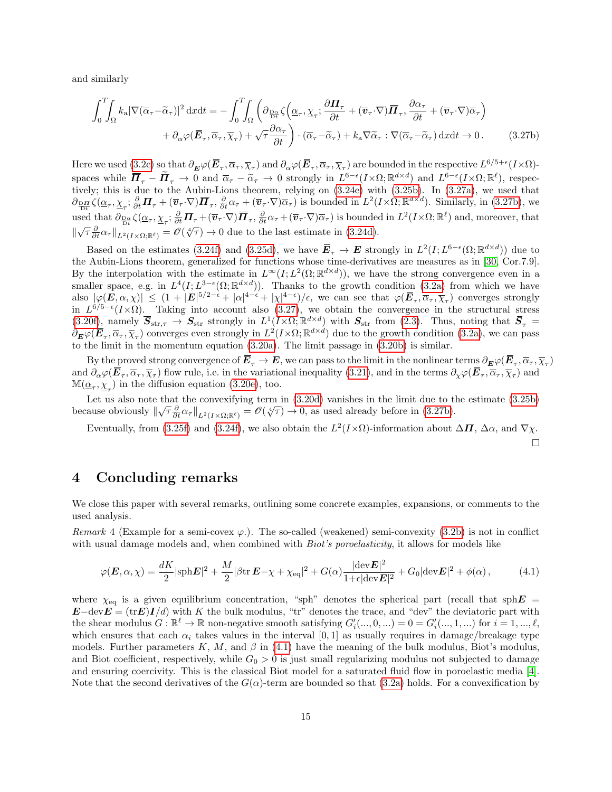and similarly

$$
\int_{0}^{T} \int_{\Omega} k_{\mathbf{a}} |\nabla(\overline{\alpha}_{\tau} - \widetilde{\alpha}_{\tau})|^{2} \, \mathrm{d}x \mathrm{d}t = -\int_{0}^{T} \int_{\Omega} \left( \partial_{\frac{\mathbf{D}\alpha}{\mathbf{D}t}} \zeta \left( \underline{\alpha}_{\tau}, \underline{\chi}_{\tau}; \frac{\partial \mathbf{\Pi}_{\tau}}{\partial t} + (\overline{\mathbf{v}}_{\tau} \cdot \nabla) \overline{\mathbf{\Pi}}_{\tau}, \frac{\partial \alpha_{\tau}}{\partial t} + (\overline{\mathbf{v}}_{\tau} \cdot \nabla) \overline{\alpha}_{\tau} \right) \right. \\
\left. + \partial_{\alpha} \varphi (\overline{\mathbf{E}}_{\tau}, \overline{\alpha}_{\tau}, \overline{\chi}_{\tau}) + \sqrt{\tau} \frac{\partial \alpha_{\tau}}{\partial t} \right) \cdot (\overline{\alpha}_{\tau} - \widetilde{\alpha}_{\tau}) + k_{\mathbf{a}} \nabla \widetilde{\alpha}_{\tau} : \nabla(\overline{\alpha}_{\tau} - \widetilde{\alpha}_{\tau}) \, \mathrm{d}x \mathrm{d}t \to 0. \tag{3.27b}
$$

Here we used [\(3.2c\)](#page-6-0) so that  $\partial_{\boldsymbol{E}}\varphi(\boldsymbol{\overline{E}}_{\tau},\overline{\alpha}_{\tau},\overline{\chi}_{\tau})$  and  $\partial_{\alpha}\varphi(\boldsymbol{\overline{E}}_{\tau},\overline{\alpha}_{\tau},\overline{\chi}_{\tau})$  are bounded in the respective  $L^{6/5+\epsilon}(I\times\Omega)$ spaces while  $\overline{\mathbf{\Pi}}_{\tau} - \widetilde{\mathbf{\Pi}}_{\tau} \to 0$  and  $\overline{\alpha}_{\tau} - \widetilde{\alpha}_{\tau} \to 0$  strongly in  $L^{6-\epsilon}(I \times \Omega; \mathbb{R}^{d \times d})$  and  $L^{6-\epsilon}(I \times \Omega; \mathbb{R}^{\ell})$ , respectively this is due to the Aubin Lions theorem, relying on (3.24e) w tively; this is due to the Aubin-Lions theorem, relying on [\(3.24e\)](#page-12-5) with [\(3.25b\)](#page-13-4). In [\(3.27a\)](#page-13-5), we used that  $\partial_{\frac{\mathbf{D}\mathbf{H}}{\mathbf{D}t}}\zeta(\underline{\alpha}_{\tau},\underline{\chi}_{\tau};\frac{\partial}{\partial t}\mathbf{\Pi}_{\tau} + (\overline{\mathbf{v}}_{\tau}\cdot\nabla)\overline{\mathbf{\Pi}}_{\tau},\frac{\partial}{\partial t}\alpha_{\tau} + (\overline{\mathbf{v}}_{\tau}\cdot\nabla)\overline{\alpha}_{\tau})$  is bounded in  $L^2(I\times\Omega;\mathbb{R}^{d\times d})$ . Similarly, in [\(3.27b\)](#page-14-1), we used that  $\partial_{\frac{\text{DoR}}{\text{Dt}}}\zeta(\underline{\alpha}_{\tau},\underline{\chi}_{\tau};\frac{\partial}{\partial t}\mathbf{\Pi}_{\tau}+(\overline{\mathbf{v}}_{\tau}\cdot\nabla)\overline{\mathbf{\Pi}}_{\tau},\frac{\partial}{\partial t}\alpha_{\tau}+(\overline{\mathbf{v}}_{\tau}\cdot\nabla)\overline{\alpha}_{\tau})$  is bounded in  $L^2(I\times\Omega;\mathbb{R}^{\ell})$  and, moreover, that  $\|\sqrt{\tau} \frac{\partial}{\partial t} \alpha_{\tau}\|_{L^2(I \times \Omega; \mathbb{R}^{\ell})} = \mathscr{O}(\sqrt[4]{\tau}) \to 0$  due to the last estimate in [\(3.24d\)](#page-12-4).

Based on the estimates [\(3.24f\)](#page-13-1) and [\(3.25d\)](#page-13-6), we have  $\overline{E}_{\tau} \to E$  strongly in  $L^2(I; L^{6-\epsilon}(\Omega; \mathbb{R}^{d \times d}))$  due to the Aubin-Lions theorem, generalized for functions whose time-derivatives are measures as in [\[30,](#page-17-16) Cor.7.9]. By the interpolation with the estimate in  $L^{\infty}(I; L^{2}(\Omega;\mathbb{R}^{d\times d}))$ , we have the strong convergence even in a smaller space, e.g. in  $L^4(I; L^{3-\epsilon}(\Omega; \mathbb{R}^{d \times d}))$ . Thanks to the growth condition [\(3.2a\)](#page-6-8) from which we have also  $|\varphi(\bm{E},\alpha,\chi)| \leq (1+|\bm{E}|^{5/2-\epsilon}+|\alpha|^{4-\epsilon}+|\chi|^{4-\epsilon})/\epsilon$ , we can see that  $\varphi(\bm{\bar{E}}_{\tau},\overline{\alpha}_{\tau},\overline{\chi}_{\tau})$  converges strongly in  $L^{6/5-\epsilon}(I\times\Omega)$ . Taking into account also [\(3.27\)](#page-13-0), we obtain the convergence in the structural stress  $(3.20f)$ , namely  $\overline{S}_{str,\tau} \to S_{str}$  strongly in  $L^1(I \times \Omega; \mathbb{R}^{d \times d})$  with  $S_{str}$  from  $(2.3)$ . Thus, noting that  $\overline{S}_{\tau}$  $\partial_{\boldsymbol{E}} \varphi(\boldsymbol{\overline{E}}_{\tau}, \overline{\alpha}_{\tau}, \overline{\chi}_{\tau})$  converges even strongly in  $L^2(I \times \Omega; \mathbb{R}^{d \times d})$  due to the growth condition [\(3.2a\)](#page-6-8), we can pass to the limit in the momentum equation [\(3.20a\)](#page-11-3). The limit passage in [\(3.20b\)](#page-11-2) is similar.

By the proved strong convergence of  $E_\tau \to E$ , we can pass to the limit in the nonlinear terms  $\partial_E \varphi(E_\tau, \overline{\alpha}_\tau, \overline{\chi}_\tau)$ and  $\partial_{\alpha}\varphi(E_{\tau}, \overline{\alpha}_{\tau}, \overline{\chi}_{\tau})$  flow rule, i.e. in the variational inequality [\(3.21\)](#page-11-1), and in the terms  $\partial_{\chi}\varphi(E_{\tau}, \overline{\alpha}_{\tau}, \overline{\chi}_{\tau})$  and  $\mathbb{M}(\underline{\alpha}_{\tau}, \underline{\chi}_{\tau})$  in the diffusion equation [\(3.20e\)](#page-11-5), too.

Let us also note that the convexifying term in  $(3.20d)$  vanishes in the limit due to the estimate  $(3.25b)$ Let us also note that the convexhying term in (3.20d) vanishes in the finite to the because obviously  $\|\sqrt{\tau} \frac{\partial}{\partial t} \alpha_{\tau}\|_{L^2(I \times \Omega;\mathbb{R}^\ell)} = \mathscr{O}(\sqrt[4]{\tau}) \to 0$ , as used already before in [\(3.27b\)](#page-14-1).

Eventually, from [\(3.25f\)](#page-13-2) and [\(3.24f\)](#page-13-1), we also obtain the  $L^2(I\times\Omega)$ -information about  $\Delta \mathbf{\Pi}$ ,  $\Delta \alpha$ , and  $\nabla \chi$ .

<span id="page-14-2"></span><span id="page-14-1"></span> $\Box$ 

#### 4 Concluding remarks

We close this paper with several remarks, outlining some concrete examples, expansions, or comments to the used analysis.

<span id="page-14-0"></span>Remark 4 (Example for a semi-covex  $\varphi$ .). The so-called (weakened) semi-convexity [\(3.2b\)](#page-6-4) is not in conflict with usual damage models and, when combined with *Biot's poroelasticity*, it allows for models like

$$
\varphi(\boldsymbol{E}, \alpha, \chi) = \frac{dK}{2} |\text{sph} \boldsymbol{E}|^2 + \frac{M}{2} |\beta \text{tr} \, \boldsymbol{E} - \chi + \chi_{\text{eq}}|^2 + G(\alpha) \frac{|\text{dev} \boldsymbol{E}|^2}{1 + \epsilon |\text{dev} \boldsymbol{E}|^2} + G_0 |\text{dev} \boldsymbol{E}|^2 + \phi(\alpha), \tag{4.1}
$$

where  $\chi_{\text{eq}}$  is a given equilibrium concentration, "sph" denotes the spherical part (recall that sph $E =$  $\mathbf{E}-\text{dev}\mathbf{E}=(\text{tr}\mathbf{E})I/d$  with K the bulk modulus, "tr" denotes the trace, and "dev" the deviatoric part with the shear modulus  $G: \mathbb{R}^{\ell} \to \mathbb{R}$  non-negative smooth satisfying  $G'_{i}(...,0,...) = 0 = G'_{i}(...,1,...)$  for  $i = 1,...,\ell$ , which ensures that each  $\alpha_i$  takes values in the interval [0, 1] as usually requires in damage/breakage type models. Further parameters K, M, and  $\beta$  in [\(4.1\)](#page-14-2) have the meaning of the bulk modulus, Biot's modulus, and Biot coefficient, respectively, while  $G_0 > 0$  is just small regularizing modulus not subjected to damage and ensuring coercivity. This is the classical Biot model for a saturated fluid flow in poroelastic media [\[4\]](#page-16-22). Note that the second derivatives of the  $G(\alpha)$ -term are bounded so that [\(3.2a\)](#page-6-8) holds. For a convexification by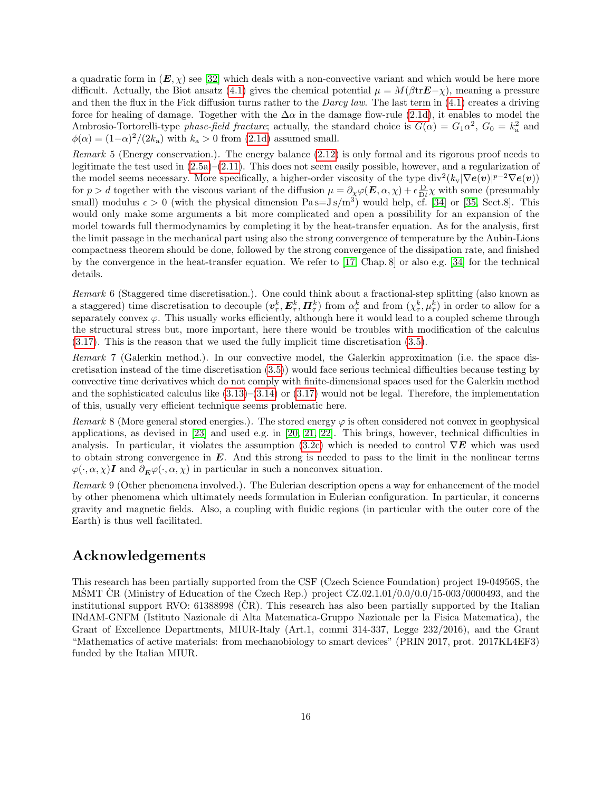a quadratic form in  $(E, \chi)$  see [\[32\]](#page-17-17) which deals with a non-convective variant and which would be here more difficult. Actually, the Biot ansatz [\(4.1\)](#page-14-2) gives the chemical potential  $\mu = M(\beta t \mathbf{E}-\chi)$ , meaning a pressure and then the flux in the Fick diffusion turns rather to the *Darcy law*. The last term in  $(4.1)$  creates a driving force for healing of damage. Together with the  $\Delta\alpha$  in the damage flow-rule [\(2.1d\)](#page-2-10), it enables to model the Ambrosio-Tortorelli-type phase-field fracture; actually, the standard choice is  $G(\alpha) = G_1 \alpha^2$ ,  $G_0 = k_a^2$  and  $\phi(\alpha) = (1-\alpha)^2/(2k_a)$  with  $k_a > 0$  from [\(2.1d\)](#page-2-10) assumed small.

Remark 5 (Energy conservation.). The energy balance [\(2.12\)](#page-4-2) is only formal and its rigorous proof needs to legitimate the test used in  $(2.5a)$ – $(2.11)$ . This does not seem easily possible, however, and a regularization of the model seems necessary. More specifically, a higher-order viscosity of the type  $\text{div}^2(k_v|\nabla \boldsymbol{e(v)}|^{p-2}\nabla \boldsymbol{e(v)})$ for  $p > d$  together with the viscous variant of the diffusion  $\mu = \partial_{\chi} \varphi(E, \alpha, \chi) + \epsilon \frac{D}{Dt} \chi$  with some (presumably small) modulus  $\epsilon > 0$  (with the physical dimension Pas= $J s/m<sup>3</sup>$ ) would help, cf. [\[34\]](#page-17-12) or [\[35,](#page-17-13) Sect.8]. This would only make some arguments a bit more complicated and open a possibility for an expansion of the model towards full thermodynamics by completing it by the heat-transfer equation. As for the analysis, first the limit passage in the mechanical part using also the strong convergence of temperature by the Aubin-Lions compactness theorem should be done, followed by the strong convergence of the dissipation rate, and finished by the convergence in the heat-transfer equation. We refer to [\[17,](#page-16-23) Chap. 8] or also e.g. [\[34\]](#page-17-12) for the technical details.

Remark 6 (Staggered time discretisation.). One could think about a fractional-step splitting (also known as a staggered) time discretisation to decouple  $(\boldsymbol{v}_{\tau}^k, \boldsymbol{E}_{\tau}^k, \boldsymbol{\Pi}_{\tau}^k)$  from  $\alpha_{\tau}^k$  and from  $(\chi_{\tau}^k, \mu_{\tau}^k)$  in order to allow for a separately convex  $\varphi$ . This usually works efficiently, although here it would lead to a coupled scheme through the structural stress but, more important, here there would be troubles with modification of the calculus [\(3.17\)](#page-10-3). This is the reason that we used the fully implicit time discretisation [\(3.5\)](#page-7-1).

Remark 7 (Galerkin method.). In our convective model, the Galerkin approximation (i.e. the space discretisation instead of the time discretisation [\(3.5\)](#page-7-1)) would face serious technical difficulties because testing by convective time derivatives which do not comply with finite-dimensional spaces used for the Galerkin method and the sophisticated calculus like  $(3.13)$ – $(3.14)$  or  $(3.17)$  would not be legal. Therefore, the implementation of this, usually very efficient technique seems problematic here.

Remark 8 (More general stored energies.). The stored energy  $\varphi$  is often considered not convex in geophysical applications, as devised in [\[23\]](#page-16-5) and used e.g. in [\[20,](#page-16-1) [21,](#page-16-3) [22\]](#page-16-2). This brings, however, technical difficulties in analysis. In particular, it violates the assumption [\(3.2c\)](#page-6-0) which is needed to control  $\nabla E$  which was used to obtain strong convergence in  $E$ . And this strong is needed to pass to the limit in the nonlinear terms  $\varphi(\cdot,\alpha,\chi)$ I and  $\partial_E\varphi(\cdot,\alpha,\chi)$  in particular in such a nonconvex situation.

Remark 9 (Other phenomena involved.). The Eulerian description opens a way for enhancement of the model by other phenomena which ultimately needs formulation in Eulerian configuration. In particular, it concerns gravity and magnetic fields. Also, a coupling with fluidic regions (in particular with the outer core of the Earth) is thus well facilitated.

## Acknowledgements

This research has been partially supported from the CSF (Czech Science Foundation) project 19-04956S, the MSMT CR (Ministry of Education of the Czech Rep.) project  $CZ.02.1.01/0.0/0.0/15-003/0000493$ , and the institutional support RVO:  $61388998$  (CR). This research has also been partially supported by the Italian INdAM-GNFM (Istituto Nazionale di Alta Matematica-Gruppo Nazionale per la Fisica Matematica), the Grant of Excellence Departments, MIUR-Italy (Art.1, commi 314-337, Legge 232/2016), and the Grant "Mathematics of active materials: from mechanobiology to smart devices" (PRIN 2017, prot. 2017KL4EF3) funded by the Italian MIUR.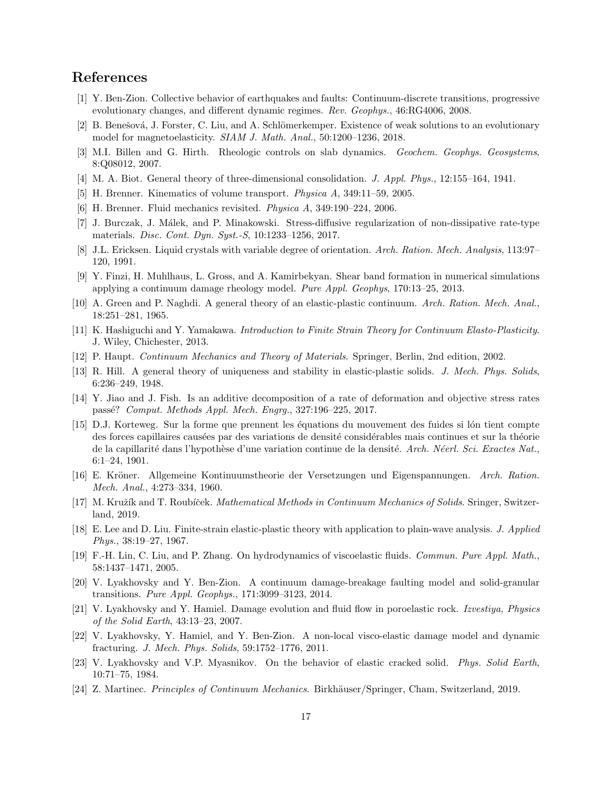## References

- <span id="page-16-0"></span>[1] Y. Ben-Zion. Collective behavior of earthquakes and faults: Continuum-discrete transitions, progressive evolutionary changes, and different dynamic regimes. Rev. Geophys., 46:RG4006, 2008.
- <span id="page-16-19"></span>[2] B. Benešová, J. Forster, C. Liu, and A. Schlömerkemper. Existence of weak solutions to an evolutionary model for magnetoelasticity. SIAM J. Math. Anal., 50:1200–1236, 2018.
- <span id="page-16-14"></span>[3] M.I. Billen and G. Hirth. Rheologic controls on slab dynamics. Geochem. Geophys. Geosystems, 8:Q08012, 2007.
- <span id="page-16-22"></span>[4] M. A. Biot. General theory of three-dimensional consolidation. J. Appl. Phys., 12:155–164, 1941.
- <span id="page-16-17"></span>[5] H. Brenner. Kinematics of volume transport. Physica A, 349:11–59, 2005.
- <span id="page-16-18"></span>[6] H. Brenner. Fluid mechanics revisited. Physica A, 349:190–224, 2006.
- <span id="page-16-21"></span>[7] J. Burczak, J. M´alek, and P. Minakowski. Stress-diffusive regularization of non-dissipative rate-type materials. Disc. Cont. Dyn. Syst.-S, 10:1233–1256, 2017.
- <span id="page-16-8"></span>[8] J.L. Ericksen. Liquid crystals with variable degree of orientation. Arch. Ration. Mech. Analysis, 113:97– 120, 1991.
- <span id="page-16-6"></span>[9] Y. Finzi, H. Muhlhaus, L. Gross, and A. Kamirbekyan. Shear band formation in numerical simulations applying a continuum damage rheology model. Pure Appl. Geophys, 170:13–25, 2013.
- <span id="page-16-4"></span>[10] A. Green and P. Naghdi. A general theory of an elastic-plastic continuum. Arch. Ration. Mech. Anal., 18:251–281, 1965.
- <span id="page-16-10"></span>[11] K. Hashiguchi and Y. Yamakawa. Introduction to Finite Strain Theory for Continuum Elasto-Plasticity. J. Wiley, Chichester, 2013.
- <span id="page-16-12"></span>[12] P. Haupt. Continuum Mechanics and Theory of Materials. Springer, Berlin, 2nd edition, 2002.
- <span id="page-16-9"></span>[13] R. Hill. A general theory of uniqueness and stability in elastic-plastic solids. J. Mech. Phys. Solids, 6:236–249, 1948.
- <span id="page-16-11"></span>[14] Y. Jiao and J. Fish. Is an additive decomposition of a rate of deformation and objective stress rates passé? Comput. Methods Appl. Mech. Engrg., 327:196-225, 2017.
- <span id="page-16-7"></span>[15] D.J. Korteweg. Sur la forme que prennent les équations du mouvement des fuides si lón tient compte des forces capillaires causées par des variations de densité considérables mais continues et sur la théorie de la capillarité dans l'hypothèse d'une variation continue de la densité. Arch. Néerl. Sci. Exactes Nat., 6:1–24, 1901.
- <span id="page-16-15"></span>[16] E. Kröner. Allgemeine Kontinuumstheorie der Versetzungen und Eigenspannungen. Arch. Ration. Mech. Anal., 4:273–334, 1960.
- <span id="page-16-23"></span>[17] M. Kružík and T. Roubíček. *Mathematical Methods in Continuum Mechanics of Solids*. Sringer, Switzerland, 2019.
- <span id="page-16-16"></span>[18] E. Lee and D. Liu. Finite-strain elastic-plastic theory with application to plain-wave analysis. J. Applied Phys., 38:19–27, 1967.
- <span id="page-16-20"></span>[19] F.-H. Lin, C. Liu, and P. Zhang. On hydrodynamics of viscoelastic fluids. Commun. Pure Appl. Math., 58:1437–1471, 2005.
- <span id="page-16-1"></span>[20] V. Lyakhovsky and Y. Ben-Zion. A continuum damage-breakage faulting model and solid-granular transitions. Pure Appl. Geophys., 171:3099–3123, 2014.
- <span id="page-16-3"></span>[21] V. Lyakhovsky and Y. Hamiel. Damage evolution and fluid flow in poroelastic rock. Izvestiya, Physics of the Solid Earth, 43:13–23, 2007.
- <span id="page-16-2"></span>[22] V. Lyakhovsky, Y. Hamiel, and Y. Ben-Zion. A non-local visco-elastic damage model and dynamic fracturing. J. Mech. Phys. Solids, 59:1752–1776, 2011.
- <span id="page-16-5"></span>[23] V. Lyakhovsky and V.P. Myasnikov. On the behavior of elastic cracked solid. Phys. Solid Earth, 10:71–75, 1984.
- <span id="page-16-13"></span>[24] Z. Martinec. *Principles of Continuum Mechanics*. Birkhäuser/Springer, Cham, Switzerland, 2019.